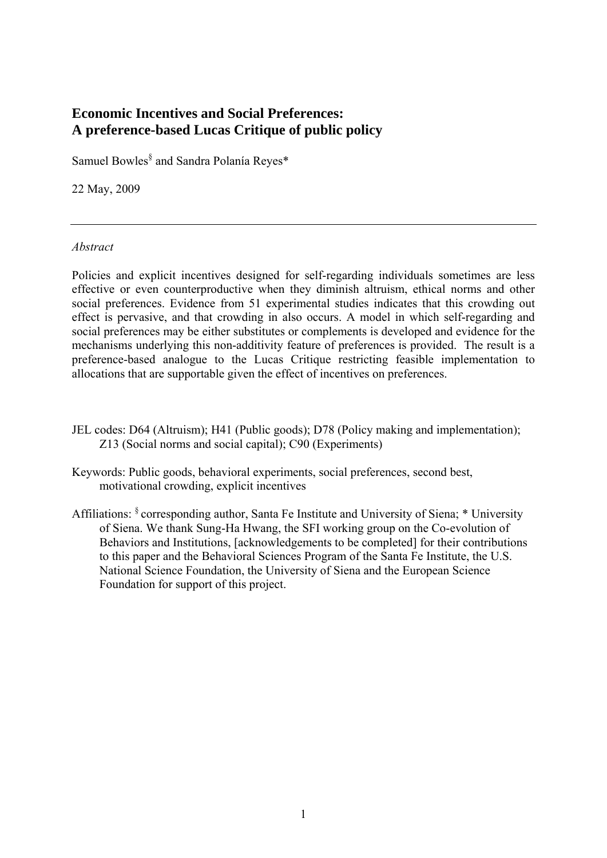# **Economic Incentives and Social Preferences: A preference-based Lucas Critique of public policy**

Samuel Bowles<sup>§</sup> and Sandra Polanía Reyes\*

22 May, 2009

# *Abstract*

Policies and explicit incentives designed for self-regarding individuals sometimes are less effective or even counterproductive when they diminish altruism, ethical norms and other social preferences. Evidence from 51 experimental studies indicates that this crowding out effect is pervasive, and that crowding in also occurs. A model in which self-regarding and social preferences may be either substitutes or complements is developed and evidence for the mechanisms underlying this non-additivity feature of preferences is provided. The result is a preference-based analogue to the Lucas Critique restricting feasible implementation to allocations that are supportable given the effect of incentives on preferences.

- JEL codes: D64 (Altruism); H41 (Public goods); D78 (Policy making and implementation); Z13 (Social norms and social capital); C90 (Experiments)
- Keywords: Public goods, behavioral experiments, social preferences, second best, motivational crowding, explicit incentives
- Affiliations: § corresponding author, Santa Fe Institute and University of Siena; \* University of Siena. We thank Sung-Ha Hwang, the SFI working group on the Co-evolution of Behaviors and Institutions, [acknowledgements to be completed] for their contributions to this paper and the Behavioral Sciences Program of the Santa Fe Institute, the U.S. National Science Foundation, the University of Siena and the European Science Foundation for support of this project.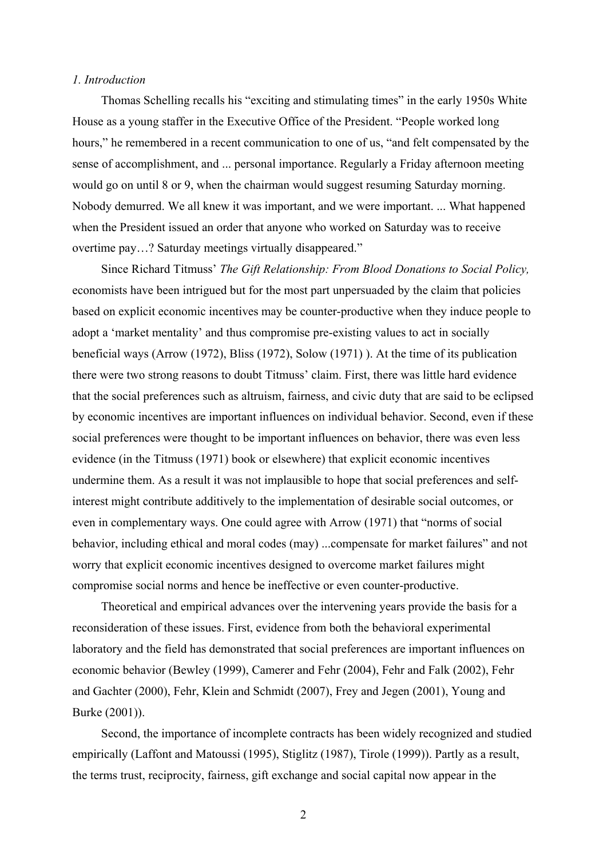## *1. Introduction*

Thomas Schelling recalls his "exciting and stimulating times" in the early 1950s White House as a young staffer in the Executive Office of the President. "People worked long hours," he remembered in a recent communication to one of us, "and felt compensated by the sense of accomplishment, and ... personal importance. Regularly a Friday afternoon meeting would go on until 8 or 9, when the chairman would suggest resuming Saturday morning. Nobody demurred. We all knew it was important, and we were important. ... What happened when the President issued an order that anyone who worked on Saturday was to receive overtime pay…? Saturday meetings virtually disappeared."

Since Richard Titmuss' *The Gift Relationship: From Blood Donations to Social Policy,* economists have been intrigued but for the most part unpersuaded by the claim that policies based on explicit economic incentives may be counter-productive when they induce people to adopt a 'market mentality' and thus compromise pre-existing values to act in socially beneficial ways (Arrow (1972), Bliss (1972), Solow (1971) ). At the time of its publication there were two strong reasons to doubt Titmuss' claim. First, there was little hard evidence that the social preferences such as altruism, fairness, and civic duty that are said to be eclipsed by economic incentives are important influences on individual behavior. Second, even if these social preferences were thought to be important influences on behavior, there was even less evidence (in the Titmuss (1971) book or elsewhere) that explicit economic incentives undermine them. As a result it was not implausible to hope that social preferences and selfinterest might contribute additively to the implementation of desirable social outcomes, or even in complementary ways. One could agree with Arrow (1971) that "norms of social behavior, including ethical and moral codes (may) ...compensate for market failures" and not worry that explicit economic incentives designed to overcome market failures might compromise social norms and hence be ineffective or even counter-productive.

Theoretical and empirical advances over the intervening years provide the basis for a reconsideration of these issues. First, evidence from both the behavioral experimental laboratory and the field has demonstrated that social preferences are important influences on economic behavior (Bewley (1999), Camerer and Fehr (2004), Fehr and Falk (2002), Fehr and Gachter (2000), Fehr, Klein and Schmidt (2007), Frey and Jegen (2001), Young and Burke (2001)).

Second, the importance of incomplete contracts has been widely recognized and studied empirically (Laffont and Matoussi (1995), Stiglitz (1987), Tirole (1999)). Partly as a result, the terms trust, reciprocity, fairness, gift exchange and social capital now appear in the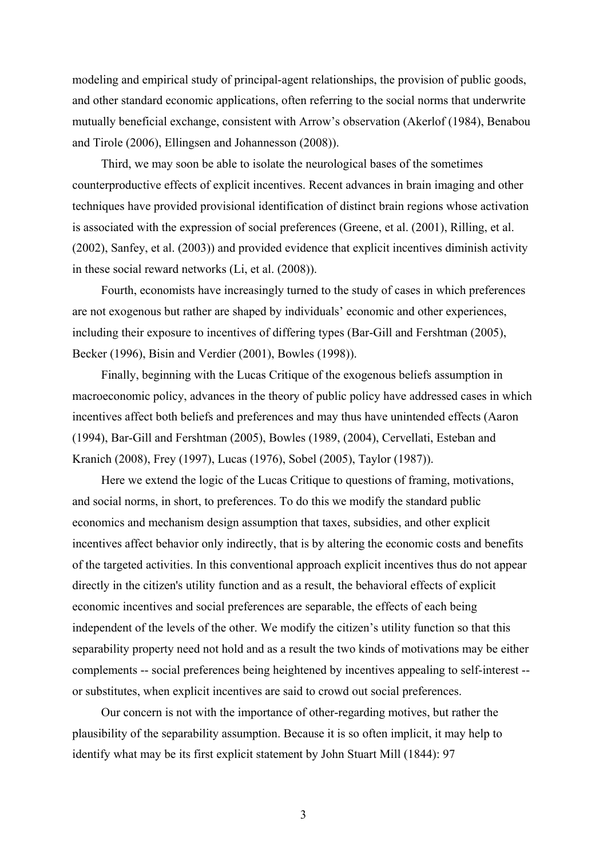modeling and empirical study of principal-agent relationships, the provision of public goods, and other standard economic applications, often referring to the social norms that underwrite mutually beneficial exchange, consistent with Arrow's observation (Akerlof (1984), Benabou and Tirole (2006), Ellingsen and Johannesson (2008)).

Third, we may soon be able to isolate the neurological bases of the sometimes counterproductive effects of explicit incentives. Recent advances in brain imaging and other techniques have provided provisional identification of distinct brain regions whose activation is associated with the expression of social preferences (Greene, et al. (2001), Rilling, et al. (2002), Sanfey, et al. (2003)) and provided evidence that explicit incentives diminish activity in these social reward networks (Li, et al. (2008)).

Fourth, economists have increasingly turned to the study of cases in which preferences are not exogenous but rather are shaped by individuals' economic and other experiences, including their exposure to incentives of differing types (Bar-Gill and Fershtman (2005), Becker (1996), Bisin and Verdier (2001), Bowles (1998)).

Finally, beginning with the Lucas Critique of the exogenous beliefs assumption in macroeconomic policy, advances in the theory of public policy have addressed cases in which incentives affect both beliefs and preferences and may thus have unintended effects (Aaron (1994), Bar-Gill and Fershtman (2005), Bowles (1989, (2004), Cervellati, Esteban and Kranich (2008), Frey (1997), Lucas (1976), Sobel (2005), Taylor (1987)).

Here we extend the logic of the Lucas Critique to questions of framing, motivations, and social norms, in short, to preferences. To do this we modify the standard public economics and mechanism design assumption that taxes, subsidies, and other explicit incentives affect behavior only indirectly, that is by altering the economic costs and benefits of the targeted activities. In this conventional approach explicit incentives thus do not appear directly in the citizen's utility function and as a result, the behavioral effects of explicit economic incentives and social preferences are separable, the effects of each being independent of the levels of the other. We modify the citizen's utility function so that this separability property need not hold and as a result the two kinds of motivations may be either complements -- social preferences being heightened by incentives appealing to self-interest - or substitutes, when explicit incentives are said to crowd out social preferences.

Our concern is not with the importance of other-regarding motives, but rather the plausibility of the separability assumption. Because it is so often implicit, it may help to identify what may be its first explicit statement by John Stuart Mill (1844): 97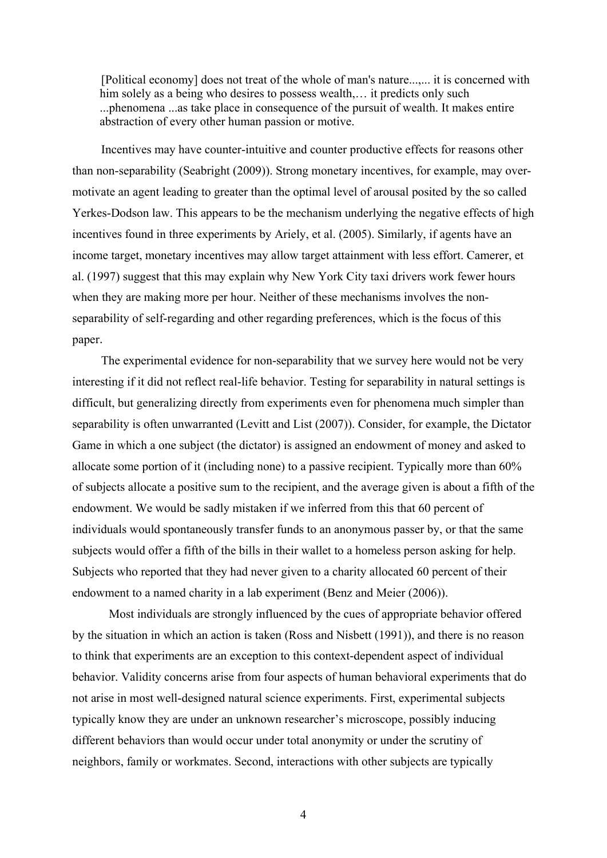[Political economy] does not treat of the whole of man's nature...,... it is concerned with him solely as a being who desires to possess wealth,... it predicts only such ...phenomena ...as take place in consequence of the pursuit of wealth. It makes entire abstraction of every other human passion or motive.

Incentives may have counter-intuitive and counter productive effects for reasons other than non-separability (Seabright (2009)). Strong monetary incentives, for example, may overmotivate an agent leading to greater than the optimal level of arousal posited by the so called Yerkes-Dodson law. This appears to be the mechanism underlying the negative effects of high incentives found in three experiments by Ariely, et al. (2005). Similarly, if agents have an income target, monetary incentives may allow target attainment with less effort. Camerer, et al. (1997) suggest that this may explain why New York City taxi drivers work fewer hours when they are making more per hour. Neither of these mechanisms involves the nonseparability of self-regarding and other regarding preferences, which is the focus of this paper.

The experimental evidence for non-separability that we survey here would not be very interesting if it did not reflect real-life behavior. Testing for separability in natural settings is difficult, but generalizing directly from experiments even for phenomena much simpler than separability is often unwarranted (Levitt and List (2007)). Consider, for example, the Dictator Game in which a one subject (the dictator) is assigned an endowment of money and asked to allocate some portion of it (including none) to a passive recipient. Typically more than 60% of subjects allocate a positive sum to the recipient, and the average given is about a fifth of the endowment. We would be sadly mistaken if we inferred from this that 60 percent of individuals would spontaneously transfer funds to an anonymous passer by, or that the same subjects would offer a fifth of the bills in their wallet to a homeless person asking for help. Subjects who reported that they had never given to a charity allocated 60 percent of their endowment to a named charity in a lab experiment (Benz and Meier (2006)).

 Most individuals are strongly influenced by the cues of appropriate behavior offered by the situation in which an action is taken (Ross and Nisbett (1991)), and there is no reason to think that experiments are an exception to this context-dependent aspect of individual behavior. Validity concerns arise from four aspects of human behavioral experiments that do not arise in most well-designed natural science experiments. First, experimental subjects typically know they are under an unknown researcher's microscope, possibly inducing different behaviors than would occur under total anonymity or under the scrutiny of neighbors, family or workmates. Second, interactions with other subjects are typically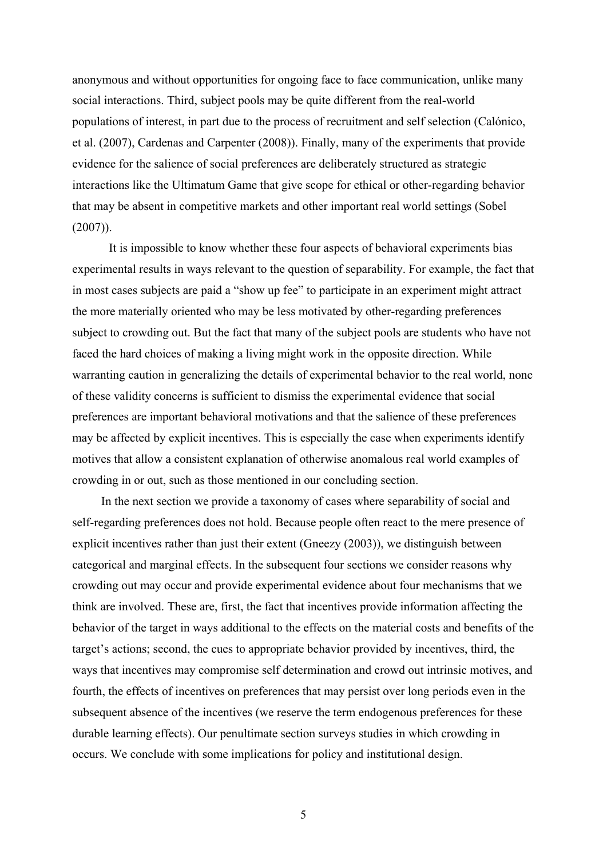anonymous and without opportunities for ongoing face to face communication, unlike many social interactions. Third, subject pools may be quite different from the real-world populations of interest, in part due to the process of recruitment and self selection (Calónico, et al. (2007), Cardenas and Carpenter (2008)). Finally, many of the experiments that provide evidence for the salience of social preferences are deliberately structured as strategic interactions like the Ultimatum Game that give scope for ethical or other-regarding behavior that may be absent in competitive markets and other important real world settings (Sobel  $(2007)$ ).

 It is impossible to know whether these four aspects of behavioral experiments bias experimental results in ways relevant to the question of separability. For example, the fact that in most cases subjects are paid a "show up fee" to participate in an experiment might attract the more materially oriented who may be less motivated by other-regarding preferences subject to crowding out. But the fact that many of the subject pools are students who have not faced the hard choices of making a living might work in the opposite direction. While warranting caution in generalizing the details of experimental behavior to the real world, none of these validity concerns is sufficient to dismiss the experimental evidence that social preferences are important behavioral motivations and that the salience of these preferences may be affected by explicit incentives. This is especially the case when experiments identify motives that allow a consistent explanation of otherwise anomalous real world examples of crowding in or out, such as those mentioned in our concluding section.

In the next section we provide a taxonomy of cases where separability of social and self-regarding preferences does not hold. Because people often react to the mere presence of explicit incentives rather than just their extent (Gneezy (2003)), we distinguish between categorical and marginal effects. In the subsequent four sections we consider reasons why crowding out may occur and provide experimental evidence about four mechanisms that we think are involved. These are, first, the fact that incentives provide information affecting the behavior of the target in ways additional to the effects on the material costs and benefits of the target's actions; second, the cues to appropriate behavior provided by incentives, third, the ways that incentives may compromise self determination and crowd out intrinsic motives, and fourth, the effects of incentives on preferences that may persist over long periods even in the subsequent absence of the incentives (we reserve the term endogenous preferences for these durable learning effects). Our penultimate section surveys studies in which crowding in occurs. We conclude with some implications for policy and institutional design.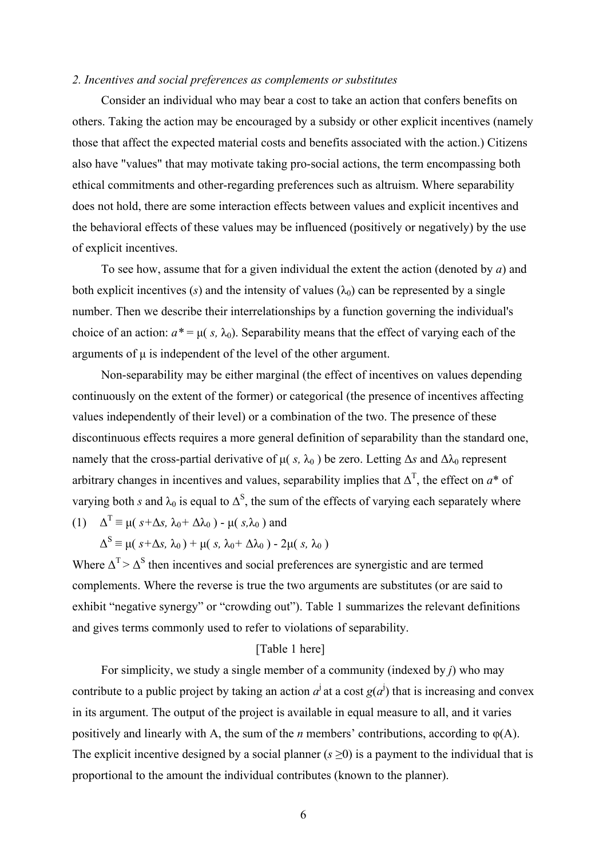#### *2. Incentives and social preferences as complements or substitutes*

Consider an individual who may bear a cost to take an action that confers benefits on others. Taking the action may be encouraged by a subsidy or other explicit incentives (namely those that affect the expected material costs and benefits associated with the action.) Citizens also have "values" that may motivate taking pro-social actions, the term encompassing both ethical commitments and other-regarding preferences such as altruism. Where separability does not hold, there are some interaction effects between values and explicit incentives and the behavioral effects of these values may be influenced (positively or negatively) by the use of explicit incentives.

To see how, assume that for a given individual the extent the action (denoted by *a*) and both explicit incentives (*s*) and the intensity of values  $(\lambda_0)$  can be represented by a single number. Then we describe their interrelationships by a function governing the individual's choice of an action:  $a^* = \mu(s, \lambda_0)$ . Separability means that the effect of varying each of the arguments of  $\mu$  is independent of the level of the other argument.

Non-separability may be either marginal (the effect of incentives on values depending continuously on the extent of the former) or categorical (the presence of incentives affecting values independently of their level) or a combination of the two. The presence of these discontinuous effects requires a more general definition of separability than the standard one, namely that the cross-partial derivative of  $\mu(s, \lambda_0)$  be zero. Letting  $\Delta s$  and  $\Delta \lambda_0$  represent arbitrary changes in incentives and values, separability implies that  $\Delta^T$ , the effect on  $a^*$  of varying both *s* and  $\lambda_0$  is equal to  $\Delta^S$ , the sum of the effects of varying each separately where (1)  $\Delta^T \equiv \mu (s + \Delta s, \lambda_0 + \Delta \lambda_0) - \mu (s, \lambda_0)$  and

$$
\Delta^{S} \equiv \mu(\, s+\Delta s,\, \lambda_0\,) + \mu(\, s,\, \lambda_0+\Delta\lambda_0\, ) - 2\mu(\, s,\, \lambda_0\,)
$$

Where  $\Delta^{T} > \Delta^{S}$  then incentives and social preferences are synergistic and are termed complements. Where the reverse is true the two arguments are substitutes (or are said to exhibit "negative synergy" or "crowding out"). Table 1 summarizes the relevant definitions and gives terms commonly used to refer to violations of separability.

## [Table 1 here]

For simplicity, we study a single member of a community (indexed by *j*) who may contribute to a public project by taking an action  $a^j$  at a cost  $g(a^j)$  that is increasing and convex in its argument. The output of the project is available in equal measure to all, and it varies positively and linearly with A, the sum of the *n* members' contributions, according to φ(A). The explicit incentive designed by a social planner  $(s \ge 0)$  is a payment to the individual that is proportional to the amount the individual contributes (known to the planner).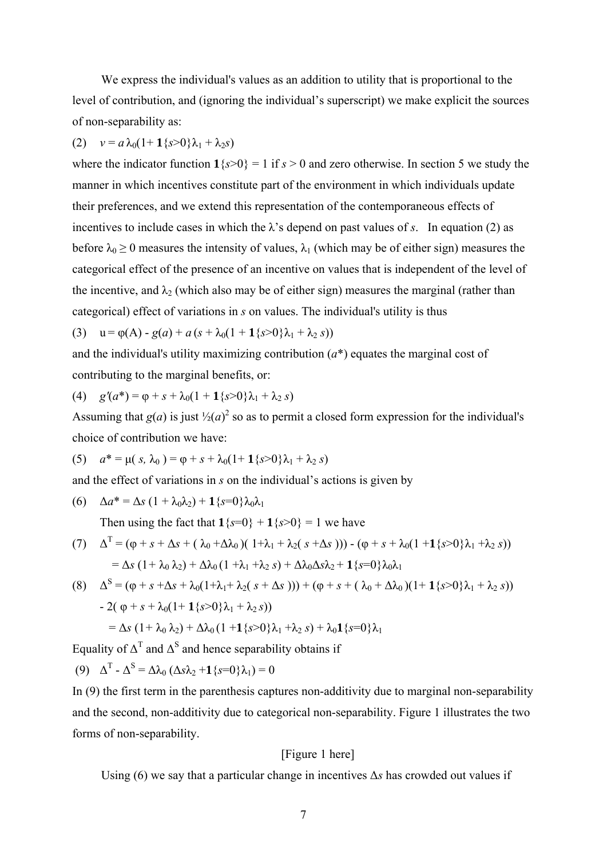We express the individual's values as an addition to utility that is proportional to the level of contribution, and (ignoring the individual's superscript) we make explicit the sources of non-separability as:

# (2)  $v = a \lambda_0 (1 + 1 \{s > 0\} \lambda_1 + \lambda_2 s)$

where the indicator function  $1\{s>0\} = 1$  if  $s > 0$  and zero otherwise. In section 5 we study the manner in which incentives constitute part of the environment in which individuals update their preferences, and we extend this representation of the contemporaneous effects of incentives to include cases in which the  $\lambda$ 's depend on past values of *s*. In equation (2) as before  $\lambda_0 \ge 0$  measures the intensity of values,  $\lambda_1$  (which may be of either sign) measures the categorical effect of the presence of an incentive on values that is independent of the level of the incentive, and  $\lambda_2$  (which also may be of either sign) measures the marginal (rather than categorical) effect of variations in *s* on values. The individual's utility is thus

(3) 
$$
u = \varphi(A) - g(a) + a(s + \lambda_0(1 + 1\{s > 0\}\lambda_1 + \lambda_2 s))
$$

and the individual's utility maximizing contribution (*a*\*) equates the marginal cost of contributing to the marginal benefits, or:

(4) 
$$
g'(a^*) = \varphi + s + \lambda_0 (1 + 1\{s > 0\}\lambda_1 + \lambda_2 s)
$$

Assuming that  $g(a)$  is just  $\frac{1}{2}(a)^2$  so as to permit a closed form expression for the individual's choice of contribution we have:

(5) 
$$
a^* = \mu(s, \lambda_0) = \varphi + s + \lambda_0(1 + 1\{s > 0\}\lambda_1 + \lambda_2 s)
$$

and the effect of variations in *s* on the individual's actions is given by

(6) 
$$
\Delta a^* = \Delta s \left(1 + \lambda_0 \lambda_2\right) + \mathbf{1} \left\{s = 0\right\} \lambda_0 \lambda_1
$$

Then using the fact that  $\mathbf{1}{s=0} + \mathbf{1}{s>0} = 1$  we have

(7) 
$$
\Delta^T = (\varphi + s + \Delta s + (\lambda_0 + \Delta \lambda_0)(1 + \lambda_1 + \lambda_2(s + \Delta s))) - (\varphi + s + \lambda_0(1 + \mathbf{1}\{s > 0\}\lambda_1 + \lambda_2 s))
$$

$$
= \Delta s (1 + \lambda_0 \lambda_2) + \Delta \lambda_0 (1 + \lambda_1 + \lambda_2 s) + \Delta \lambda_0 \Delta s \lambda_2 + \mathbf{1}\{s = 0\}\lambda_0 \lambda_1
$$

(8) 
$$
\Delta^{S} = (\varphi + s + \Delta s + \lambda_{0}(1 + \lambda_{1} + \lambda_{2}(s + \Delta s))) + (\varphi + s + (\lambda_{0} + \Delta\lambda_{0})(1 + 1\{s > 0\}\lambda_{1} + \lambda_{2} s))
$$

$$
- 2(\varphi + s + \lambda_{0}(1 + 1\{s > 0\}\lambda_{1} + \lambda_{2} s))
$$

$$
= \Delta s (1 + \lambda_{0}\lambda_{2}) + \Delta\lambda_{0}(1 + 1\{s > 0\}\lambda_{1} + \lambda_{2} s) + \lambda_{0}1\{s = 0\}\lambda_{1}
$$

Equality of  $\Delta^T$  and  $\Delta^S$  and hence separability obtains if

(9)  $\Delta^{T}$  -  $\Delta^{S} = \Delta \lambda_0 (\Delta s \lambda_2 + 1 \{s=0\} \lambda_1) = 0$ 

In (9) the first term in the parenthesis captures non-additivity due to marginal non-separability and the second, non-additivity due to categorical non-separability. Figure 1 illustrates the two forms of non-separability.

## [Figure 1 here]

Using (6) we say that a particular change in incentives Δ*s* has crowded out values if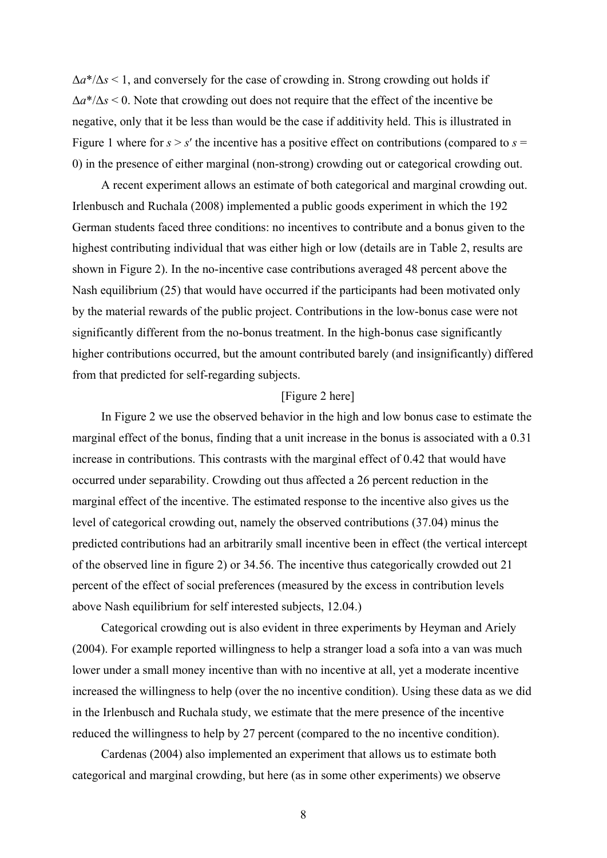$\Delta a^*/\Delta s$  < 1, and conversely for the case of crowding in. Strong crowding out holds if Δ*a*\*/Δ*s* < 0. Note that crowding out does not require that the effect of the incentive be negative, only that it be less than would be the case if additivity held. This is illustrated in Figure 1 where for  $s > s'$  the incentive has a positive effect on contributions (compared to  $s =$ 0) in the presence of either marginal (non-strong) crowding out or categorical crowding out.

A recent experiment allows an estimate of both categorical and marginal crowding out. Irlenbusch and Ruchala (2008) implemented a public goods experiment in which the 192 German students faced three conditions: no incentives to contribute and a bonus given to the highest contributing individual that was either high or low (details are in Table 2, results are shown in Figure 2). In the no-incentive case contributions averaged 48 percent above the Nash equilibrium (25) that would have occurred if the participants had been motivated only by the material rewards of the public project. Contributions in the low-bonus case were not significantly different from the no-bonus treatment. In the high-bonus case significantly higher contributions occurred, but the amount contributed barely (and insignificantly) differed from that predicted for self-regarding subjects.

## [Figure 2 here]

In Figure 2 we use the observed behavior in the high and low bonus case to estimate the marginal effect of the bonus, finding that a unit increase in the bonus is associated with a 0.31 increase in contributions. This contrasts with the marginal effect of 0.42 that would have occurred under separability. Crowding out thus affected a 26 percent reduction in the marginal effect of the incentive. The estimated response to the incentive also gives us the level of categorical crowding out, namely the observed contributions (37.04) minus the predicted contributions had an arbitrarily small incentive been in effect (the vertical intercept of the observed line in figure 2) or 34.56. The incentive thus categorically crowded out 21 percent of the effect of social preferences (measured by the excess in contribution levels above Nash equilibrium for self interested subjects, 12.04.)

Categorical crowding out is also evident in three experiments by Heyman and Ariely (2004). For example reported willingness to help a stranger load a sofa into a van was much lower under a small money incentive than with no incentive at all, yet a moderate incentive increased the willingness to help (over the no incentive condition). Using these data as we did in the Irlenbusch and Ruchala study, we estimate that the mere presence of the incentive reduced the willingness to help by 27 percent (compared to the no incentive condition).

Cardenas (2004) also implemented an experiment that allows us to estimate both categorical and marginal crowding, but here (as in some other experiments) we observe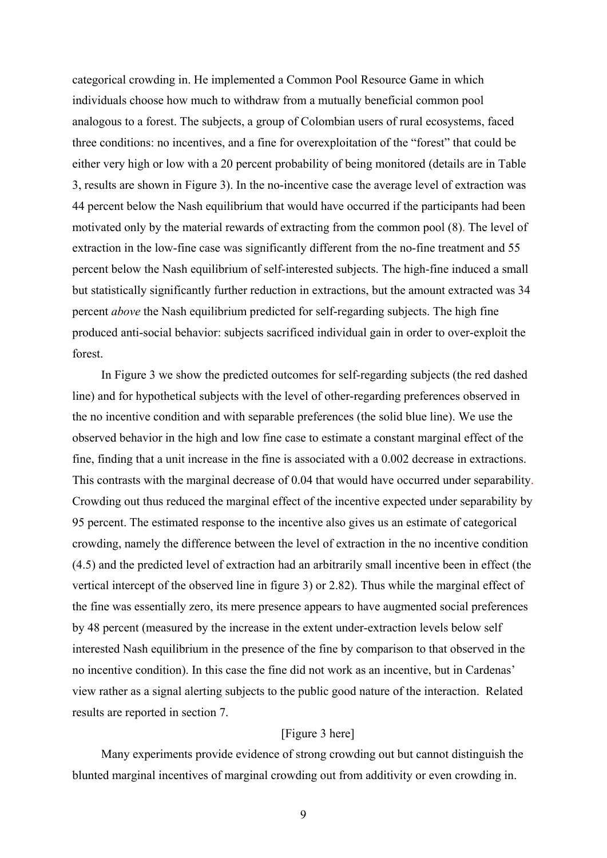categorical crowding in. He implemented a Common Pool Resource Game in which individuals choose how much to withdraw from a mutually beneficial common pool analogous to a forest. The subjects, a group of Colombian users of rural ecosystems, faced three conditions: no incentives, and a fine for overexploitation of the "forest" that could be either very high or low with a 20 percent probability of being monitored (details are in Table 3, results are shown in Figure 3). In the no-incentive case the average level of extraction was 44 percent below the Nash equilibrium that would have occurred if the participants had been motivated only by the material rewards of extracting from the common pool (8). The level of extraction in the low-fine case was significantly different from the no-fine treatment and 55 percent below the Nash equilibrium of self-interested subjects. The high-fine induced a small but statistically significantly further reduction in extractions, but the amount extracted was 34 percent *above* the Nash equilibrium predicted for self-regarding subjects. The high fine produced anti-social behavior: subjects sacrificed individual gain in order to over-exploit the forest.

In Figure 3 we show the predicted outcomes for self-regarding subjects (the red dashed line) and for hypothetical subjects with the level of other-regarding preferences observed in the no incentive condition and with separable preferences (the solid blue line). We use the observed behavior in the high and low fine case to estimate a constant marginal effect of the fine, finding that a unit increase in the fine is associated with a 0.002 decrease in extractions. This contrasts with the marginal decrease of 0.04 that would have occurred under separability. Crowding out thus reduced the marginal effect of the incentive expected under separability by 95 percent. The estimated response to the incentive also gives us an estimate of categorical crowding, namely the difference between the level of extraction in the no incentive condition (4.5) and the predicted level of extraction had an arbitrarily small incentive been in effect (the vertical intercept of the observed line in figure 3) or 2.82). Thus while the marginal effect of the fine was essentially zero, its mere presence appears to have augmented social preferences by 48 percent (measured by the increase in the extent under-extraction levels below self interested Nash equilibrium in the presence of the fine by comparison to that observed in the no incentive condition). In this case the fine did not work as an incentive, but in Cardenas' view rather as a signal alerting subjects to the public good nature of the interaction. Related results are reported in section 7.

## [Figure 3 here]

Many experiments provide evidence of strong crowding out but cannot distinguish the blunted marginal incentives of marginal crowding out from additivity or even crowding in.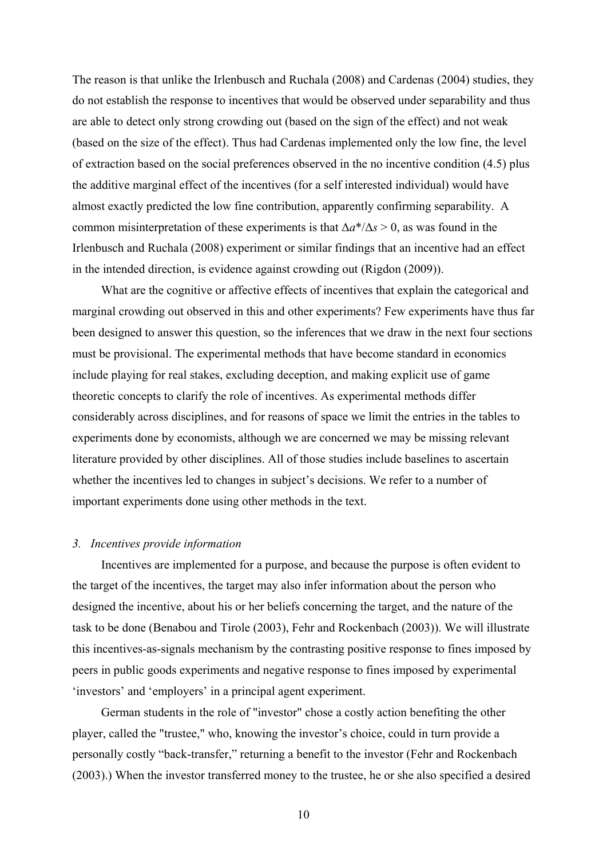The reason is that unlike the Irlenbusch and Ruchala (2008) and Cardenas (2004) studies, they do not establish the response to incentives that would be observed under separability and thus are able to detect only strong crowding out (based on the sign of the effect) and not weak (based on the size of the effect). Thus had Cardenas implemented only the low fine, the level of extraction based on the social preferences observed in the no incentive condition (4.5) plus the additive marginal effect of the incentives (for a self interested individual) would have almost exactly predicted the low fine contribution, apparently confirming separability. A common misinterpretation of these experiments is that  $\Delta a^*/\Delta s > 0$ , as was found in the Irlenbusch and Ruchala (2008) experiment or similar findings that an incentive had an effect in the intended direction, is evidence against crowding out (Rigdon (2009)).

What are the cognitive or affective effects of incentives that explain the categorical and marginal crowding out observed in this and other experiments? Few experiments have thus far been designed to answer this question, so the inferences that we draw in the next four sections must be provisional. The experimental methods that have become standard in economics include playing for real stakes, excluding deception, and making explicit use of game theoretic concepts to clarify the role of incentives. As experimental methods differ considerably across disciplines, and for reasons of space we limit the entries in the tables to experiments done by economists, although we are concerned we may be missing relevant literature provided by other disciplines. All of those studies include baselines to ascertain whether the incentives led to changes in subject's decisions. We refer to a number of important experiments done using other methods in the text.

## *3. Incentives provide information*

Incentives are implemented for a purpose, and because the purpose is often evident to the target of the incentives, the target may also infer information about the person who designed the incentive, about his or her beliefs concerning the target, and the nature of the task to be done (Benabou and Tirole (2003), Fehr and Rockenbach (2003)). We will illustrate this incentives-as-signals mechanism by the contrasting positive response to fines imposed by peers in public goods experiments and negative response to fines imposed by experimental 'investors' and 'employers' in a principal agent experiment.

German students in the role of "investor" chose a costly action benefiting the other player, called the "trustee," who, knowing the investor's choice, could in turn provide a personally costly "back-transfer," returning a benefit to the investor (Fehr and Rockenbach (2003).) When the investor transferred money to the trustee, he or she also specified a desired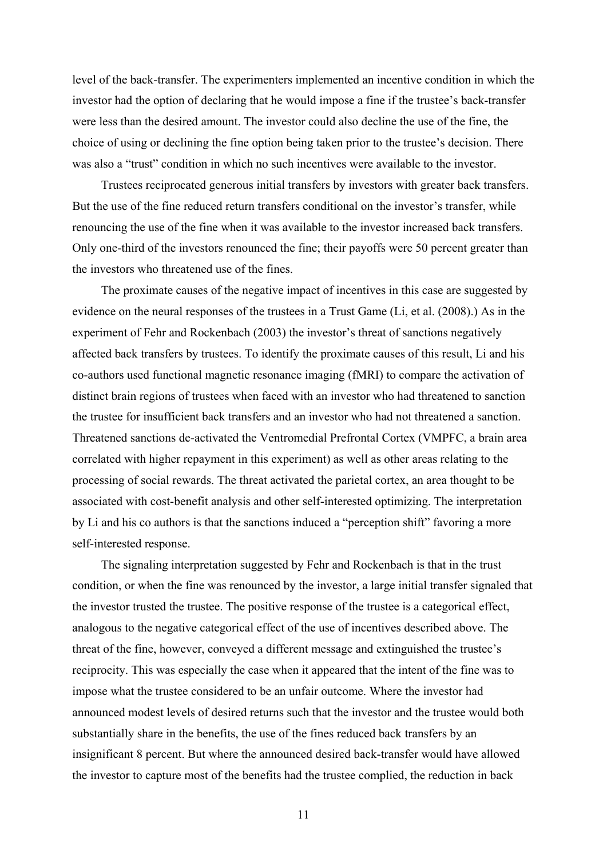level of the back-transfer. The experimenters implemented an incentive condition in which the investor had the option of declaring that he would impose a fine if the trustee's back-transfer were less than the desired amount. The investor could also decline the use of the fine, the choice of using or declining the fine option being taken prior to the trustee's decision. There was also a "trust" condition in which no such incentives were available to the investor.

Trustees reciprocated generous initial transfers by investors with greater back transfers. But the use of the fine reduced return transfers conditional on the investor's transfer, while renouncing the use of the fine when it was available to the investor increased back transfers. Only one-third of the investors renounced the fine; their payoffs were 50 percent greater than the investors who threatened use of the fines.

The proximate causes of the negative impact of incentives in this case are suggested by evidence on the neural responses of the trustees in a Trust Game (Li, et al. (2008).) As in the experiment of Fehr and Rockenbach (2003) the investor's threat of sanctions negatively affected back transfers by trustees. To identify the proximate causes of this result, Li and his co-authors used functional magnetic resonance imaging (fMRI) to compare the activation of distinct brain regions of trustees when faced with an investor who had threatened to sanction the trustee for insufficient back transfers and an investor who had not threatened a sanction. Threatened sanctions de-activated the Ventromedial Prefrontal Cortex (VMPFC, a brain area correlated with higher repayment in this experiment) as well as other areas relating to the processing of social rewards. The threat activated the parietal cortex, an area thought to be associated with cost-benefit analysis and other self-interested optimizing. The interpretation by Li and his co authors is that the sanctions induced a "perception shift" favoring a more self-interested response.

The signaling interpretation suggested by Fehr and Rockenbach is that in the trust condition, or when the fine was renounced by the investor, a large initial transfer signaled that the investor trusted the trustee. The positive response of the trustee is a categorical effect, analogous to the negative categorical effect of the use of incentives described above. The threat of the fine, however, conveyed a different message and extinguished the trustee's reciprocity. This was especially the case when it appeared that the intent of the fine was to impose what the trustee considered to be an unfair outcome. Where the investor had announced modest levels of desired returns such that the investor and the trustee would both substantially share in the benefits, the use of the fines reduced back transfers by an insignificant 8 percent. But where the announced desired back-transfer would have allowed the investor to capture most of the benefits had the trustee complied, the reduction in back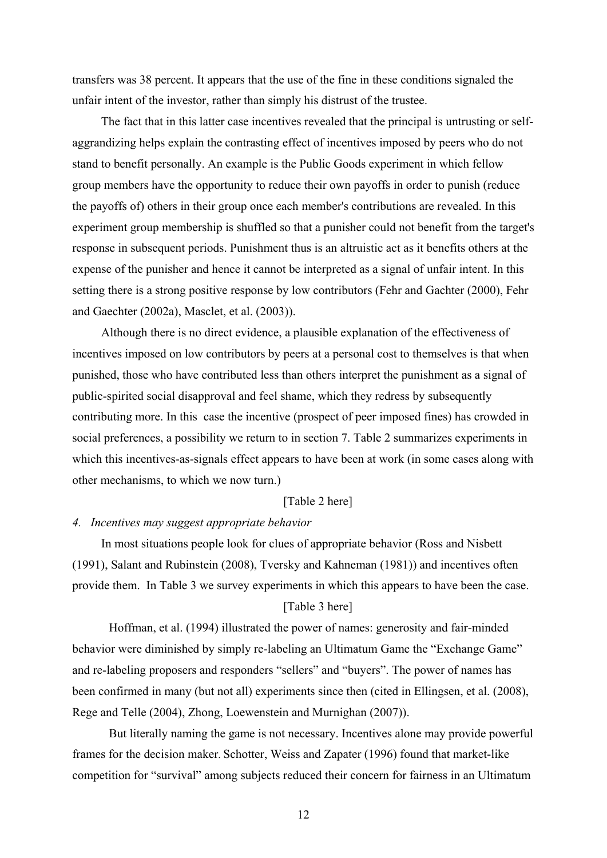transfers was 38 percent. It appears that the use of the fine in these conditions signaled the unfair intent of the investor, rather than simply his distrust of the trustee.

The fact that in this latter case incentives revealed that the principal is untrusting or selfaggrandizing helps explain the contrasting effect of incentives imposed by peers who do not stand to benefit personally. An example is the Public Goods experiment in which fellow group members have the opportunity to reduce their own payoffs in order to punish (reduce the payoffs of) others in their group once each member's contributions are revealed. In this experiment group membership is shuffled so that a punisher could not benefit from the target's response in subsequent periods. Punishment thus is an altruistic act as it benefits others at the expense of the punisher and hence it cannot be interpreted as a signal of unfair intent. In this setting there is a strong positive response by low contributors (Fehr and Gachter (2000), Fehr and Gaechter (2002a), Masclet, et al. (2003)).

Although there is no direct evidence, a plausible explanation of the effectiveness of incentives imposed on low contributors by peers at a personal cost to themselves is that when punished, those who have contributed less than others interpret the punishment as a signal of public-spirited social disapproval and feel shame, which they redress by subsequently contributing more. In this case the incentive (prospect of peer imposed fines) has crowded in social preferences, a possibility we return to in section 7. Table 2 summarizes experiments in which this incentives-as-signals effect appears to have been at work (in some cases along with other mechanisms, to which we now turn.)

## [Table 2 here]

## *4. Incentives may suggest appropriate behavior*

In most situations people look for clues of appropriate behavior (Ross and Nisbett (1991), Salant and Rubinstein (2008), Tversky and Kahneman (1981)) and incentives often provide them. In Table 3 we survey experiments in which this appears to have been the case. [Table 3 here]

 Hoffman, et al. (1994) illustrated the power of names: generosity and fair-minded behavior were diminished by simply re-labeling an Ultimatum Game the "Exchange Game" and re-labeling proposers and responders "sellers" and "buyers". The power of names has been confirmed in many (but not all) experiments since then (cited in Ellingsen, et al. (2008), Rege and Telle (2004), Zhong, Loewenstein and Murnighan (2007)).

 But literally naming the game is not necessary. Incentives alone may provide powerful frames for the decision maker. Schotter, Weiss and Zapater (1996) found that market-like competition for "survival" among subjects reduced their concern for fairness in an Ultimatum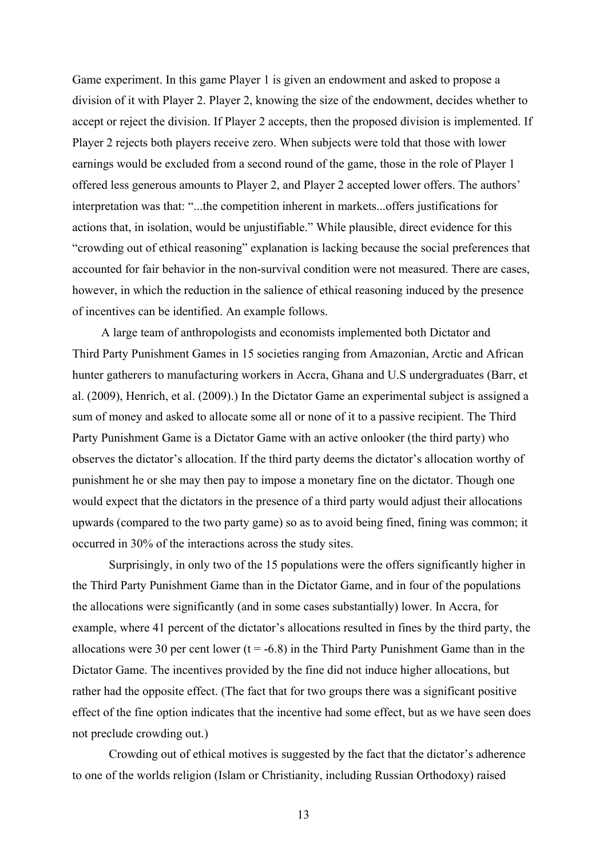Game experiment. In this game Player 1 is given an endowment and asked to propose a division of it with Player 2. Player 2, knowing the size of the endowment, decides whether to accept or reject the division. If Player 2 accepts, then the proposed division is implemented. If Player 2 rejects both players receive zero. When subjects were told that those with lower earnings would be excluded from a second round of the game, those in the role of Player 1 offered less generous amounts to Player 2, and Player 2 accepted lower offers. The authors' interpretation was that: "...the competition inherent in markets...offers justifications for actions that, in isolation, would be unjustifiable." While plausible, direct evidence for this "crowding out of ethical reasoning" explanation is lacking because the social preferences that accounted for fair behavior in the non-survival condition were not measured. There are cases, however, in which the reduction in the salience of ethical reasoning induced by the presence of incentives can be identified. An example follows.

A large team of anthropologists and economists implemented both Dictator and Third Party Punishment Games in 15 societies ranging from Amazonian, Arctic and African hunter gatherers to manufacturing workers in Accra, Ghana and U.S undergraduates (Barr, et al. (2009), Henrich, et al. (2009).) In the Dictator Game an experimental subject is assigned a sum of money and asked to allocate some all or none of it to a passive recipient. The Third Party Punishment Game is a Dictator Game with an active onlooker (the third party) who observes the dictator's allocation. If the third party deems the dictator's allocation worthy of punishment he or she may then pay to impose a monetary fine on the dictator. Though one would expect that the dictators in the presence of a third party would adjust their allocations upwards (compared to the two party game) so as to avoid being fined, fining was common; it occurred in 30% of the interactions across the study sites.

 Surprisingly, in only two of the 15 populations were the offers significantly higher in the Third Party Punishment Game than in the Dictator Game, and in four of the populations the allocations were significantly (and in some cases substantially) lower. In Accra, for example, where 41 percent of the dictator's allocations resulted in fines by the third party, the allocations were 30 per cent lower ( $t = -6.8$ ) in the Third Party Punishment Game than in the Dictator Game. The incentives provided by the fine did not induce higher allocations, but rather had the opposite effect. (The fact that for two groups there was a significant positive effect of the fine option indicates that the incentive had some effect, but as we have seen does not preclude crowding out.)

 Crowding out of ethical motives is suggested by the fact that the dictator's adherence to one of the worlds religion (Islam or Christianity, including Russian Orthodoxy) raised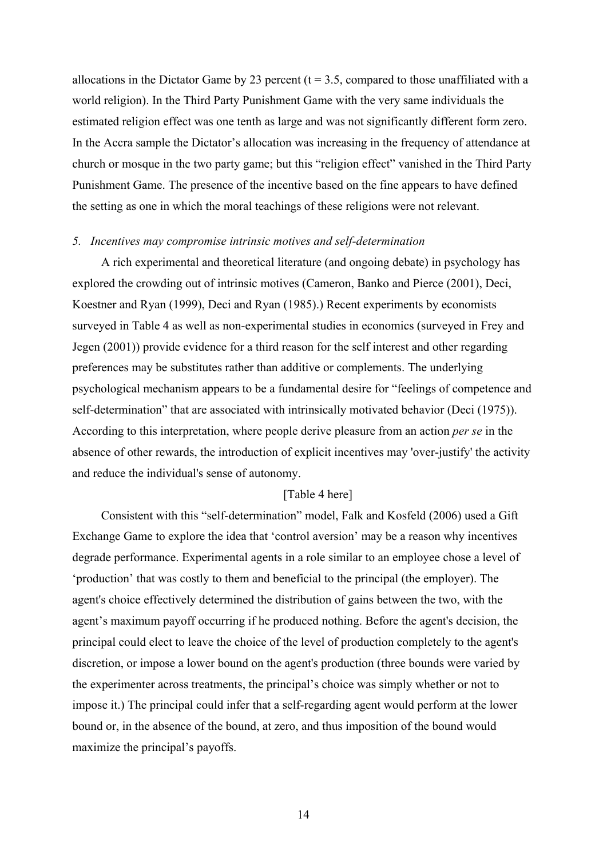allocations in the Dictator Game by 23 percent ( $t = 3.5$ , compared to those unaffiliated with a world religion). In the Third Party Punishment Game with the very same individuals the estimated religion effect was one tenth as large and was not significantly different form zero. In the Accra sample the Dictator's allocation was increasing in the frequency of attendance at church or mosque in the two party game; but this "religion effect" vanished in the Third Party Punishment Game. The presence of the incentive based on the fine appears to have defined the setting as one in which the moral teachings of these religions were not relevant.

#### *5. Incentives may compromise intrinsic motives and self-determination*

A rich experimental and theoretical literature (and ongoing debate) in psychology has explored the crowding out of intrinsic motives (Cameron, Banko and Pierce (2001), Deci, Koestner and Ryan (1999), Deci and Ryan (1985).) Recent experiments by economists surveyed in Table 4 as well as non-experimental studies in economics (surveyed in Frey and Jegen (2001)) provide evidence for a third reason for the self interest and other regarding preferences may be substitutes rather than additive or complements. The underlying psychological mechanism appears to be a fundamental desire for "feelings of competence and self-determination" that are associated with intrinsically motivated behavior (Deci (1975)). According to this interpretation, where people derive pleasure from an action *per se* in the absence of other rewards, the introduction of explicit incentives may 'over-justify' the activity and reduce the individual's sense of autonomy.

## [Table 4 here]

Consistent with this "self-determination" model, Falk and Kosfeld (2006) used a Gift Exchange Game to explore the idea that 'control aversion' may be a reason why incentives degrade performance. Experimental agents in a role similar to an employee chose a level of 'production' that was costly to them and beneficial to the principal (the employer). The agent's choice effectively determined the distribution of gains between the two, with the agent's maximum payoff occurring if he produced nothing. Before the agent's decision, the principal could elect to leave the choice of the level of production completely to the agent's discretion, or impose a lower bound on the agent's production (three bounds were varied by the experimenter across treatments, the principal's choice was simply whether or not to impose it.) The principal could infer that a self-regarding agent would perform at the lower bound or, in the absence of the bound, at zero, and thus imposition of the bound would maximize the principal's payoffs.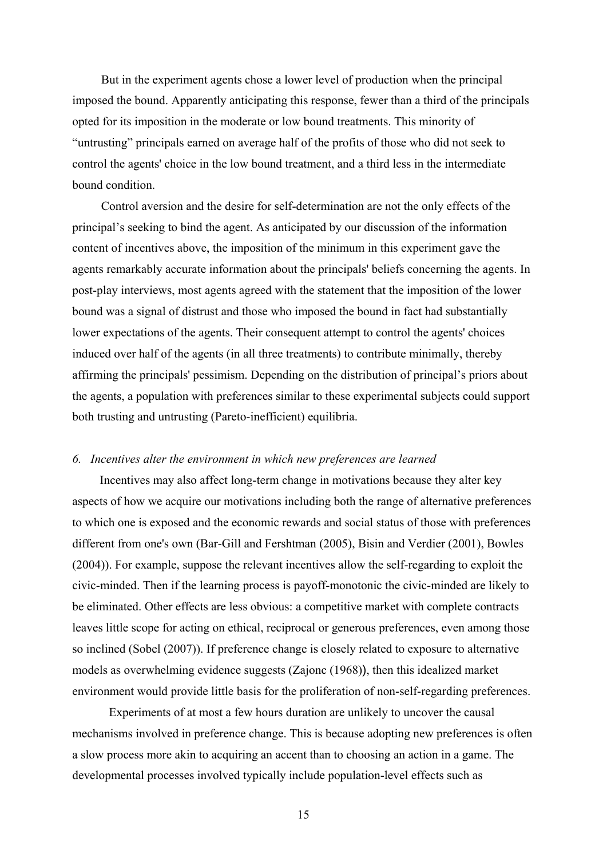But in the experiment agents chose a lower level of production when the principal imposed the bound. Apparently anticipating this response, fewer than a third of the principals opted for its imposition in the moderate or low bound treatments. This minority of "untrusting" principals earned on average half of the profits of those who did not seek to control the agents' choice in the low bound treatment, and a third less in the intermediate bound condition.

Control aversion and the desire for self-determination are not the only effects of the principal's seeking to bind the agent. As anticipated by our discussion of the information content of incentives above, the imposition of the minimum in this experiment gave the agents remarkably accurate information about the principals' beliefs concerning the agents. In post-play interviews, most agents agreed with the statement that the imposition of the lower bound was a signal of distrust and those who imposed the bound in fact had substantially lower expectations of the agents. Their consequent attempt to control the agents' choices induced over half of the agents (in all three treatments) to contribute minimally, thereby affirming the principals' pessimism. Depending on the distribution of principal's priors about the agents, a population with preferences similar to these experimental subjects could support both trusting and untrusting (Pareto-inefficient) equilibria.

### *6. Incentives alter the environment in which new preferences are learned*

Incentives may also affect long-term change in motivations because they alter key aspects of how we acquire our motivations including both the range of alternative preferences to which one is exposed and the economic rewards and social status of those with preferences different from one's own (Bar-Gill and Fershtman (2005), Bisin and Verdier (2001), Bowles (2004)). For example, suppose the relevant incentives allow the self-regarding to exploit the civic-minded. Then if the learning process is payoff-monotonic the civic-minded are likely to be eliminated. Other effects are less obvious: a competitive market with complete contracts leaves little scope for acting on ethical, reciprocal or generous preferences, even among those so inclined (Sobel (2007)). If preference change is closely related to exposure to alternative models as overwhelming evidence suggests (Zajonc (1968)), then this idealized market environment would provide little basis for the proliferation of non-self-regarding preferences.

 Experiments of at most a few hours duration are unlikely to uncover the causal mechanisms involved in preference change. This is because adopting new preferences is often a slow process more akin to acquiring an accent than to choosing an action in a game. The developmental processes involved typically include population-level effects such as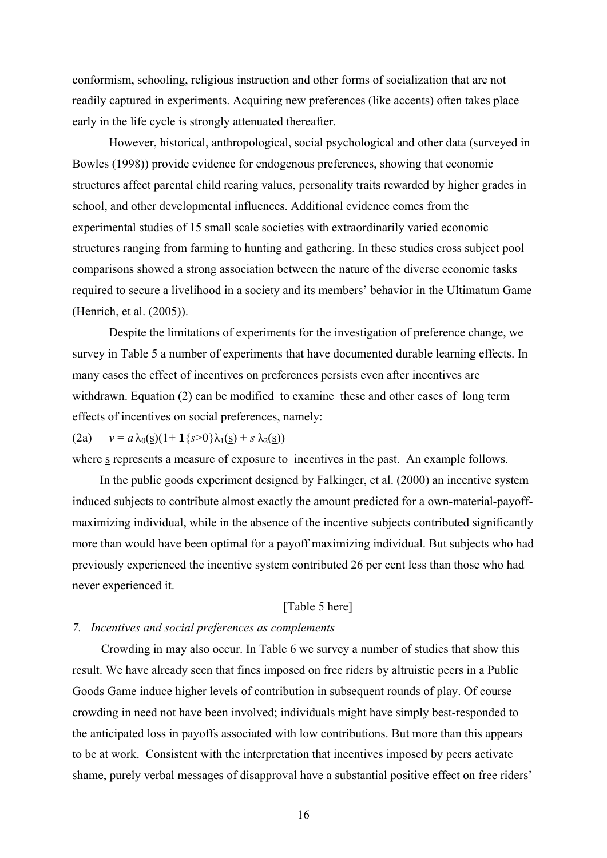conformism, schooling, religious instruction and other forms of socialization that are not readily captured in experiments. Acquiring new preferences (like accents) often takes place early in the life cycle is strongly attenuated thereafter.

 However, historical, anthropological, social psychological and other data (surveyed in Bowles (1998)) provide evidence for endogenous preferences, showing that economic structures affect parental child rearing values, personality traits rewarded by higher grades in school, and other developmental influences. Additional evidence comes from the experimental studies of 15 small scale societies with extraordinarily varied economic structures ranging from farming to hunting and gathering. In these studies cross subject pool comparisons showed a strong association between the nature of the diverse economic tasks required to secure a livelihood in a society and its members' behavior in the Ultimatum Game (Henrich, et al. (2005)).

 Despite the limitations of experiments for the investigation of preference change, we survey in Table 5 a number of experiments that have documented durable learning effects. In many cases the effect of incentives on preferences persists even after incentives are withdrawn. Equation (2) can be modified to examine these and other cases of long term effects of incentives on social preferences, namely:

### (2a)  $v = a \lambda_0(\underline{s})(1 + 1\{s > 0\}\lambda_1(\underline{s}) + s \lambda_2(\underline{s}))$

where s represents a measure of exposure to incentives in the past. An example follows.

In the public goods experiment designed by Falkinger, et al. (2000) an incentive system induced subjects to contribute almost exactly the amount predicted for a own-material-payoffmaximizing individual, while in the absence of the incentive subjects contributed significantly more than would have been optimal for a payoff maximizing individual. But subjects who had previously experienced the incentive system contributed 26 per cent less than those who had never experienced it.

# [Table 5 here]

## *7. Incentives and social preferences as complements*

Crowding in may also occur. In Table 6 we survey a number of studies that show this result. We have already seen that fines imposed on free riders by altruistic peers in a Public Goods Game induce higher levels of contribution in subsequent rounds of play. Of course crowding in need not have been involved; individuals might have simply best-responded to the anticipated loss in payoffs associated with low contributions. But more than this appears to be at work. Consistent with the interpretation that incentives imposed by peers activate shame, purely verbal messages of disapproval have a substantial positive effect on free riders'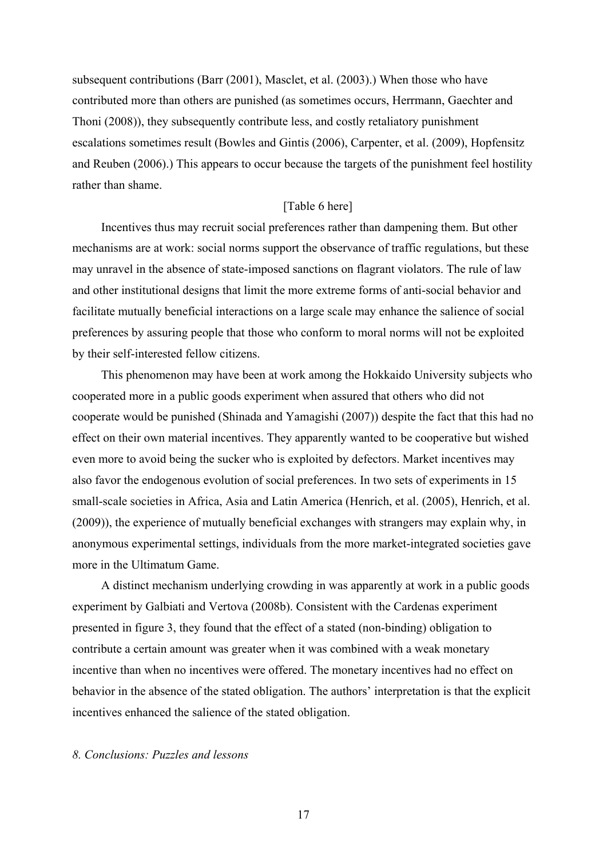subsequent contributions (Barr (2001), Masclet, et al. (2003).) When those who have contributed more than others are punished (as sometimes occurs, Herrmann, Gaechter and Thoni (2008)), they subsequently contribute less, and costly retaliatory punishment escalations sometimes result (Bowles and Gintis (2006), Carpenter, et al. (2009), Hopfensitz and Reuben (2006).) This appears to occur because the targets of the punishment feel hostility rather than shame.

## [Table 6 here]

Incentives thus may recruit social preferences rather than dampening them. But other mechanisms are at work: social norms support the observance of traffic regulations, but these may unravel in the absence of state-imposed sanctions on flagrant violators. The rule of law and other institutional designs that limit the more extreme forms of anti-social behavior and facilitate mutually beneficial interactions on a large scale may enhance the salience of social preferences by assuring people that those who conform to moral norms will not be exploited by their self-interested fellow citizens.

This phenomenon may have been at work among the Hokkaido University subjects who cooperated more in a public goods experiment when assured that others who did not cooperate would be punished (Shinada and Yamagishi (2007)) despite the fact that this had no effect on their own material incentives. They apparently wanted to be cooperative but wished even more to avoid being the sucker who is exploited by defectors. Market incentives may also favor the endogenous evolution of social preferences. In two sets of experiments in 15 small-scale societies in Africa, Asia and Latin America (Henrich, et al. (2005), Henrich, et al. (2009)), the experience of mutually beneficial exchanges with strangers may explain why, in anonymous experimental settings, individuals from the more market-integrated societies gave more in the Ultimatum Game.

A distinct mechanism underlying crowding in was apparently at work in a public goods experiment by Galbiati and Vertova (2008b). Consistent with the Cardenas experiment presented in figure 3, they found that the effect of a stated (non-binding) obligation to contribute a certain amount was greater when it was combined with a weak monetary incentive than when no incentives were offered. The monetary incentives had no effect on behavior in the absence of the stated obligation. The authors' interpretation is that the explicit incentives enhanced the salience of the stated obligation.

# *8. Conclusions: Puzzles and lessons*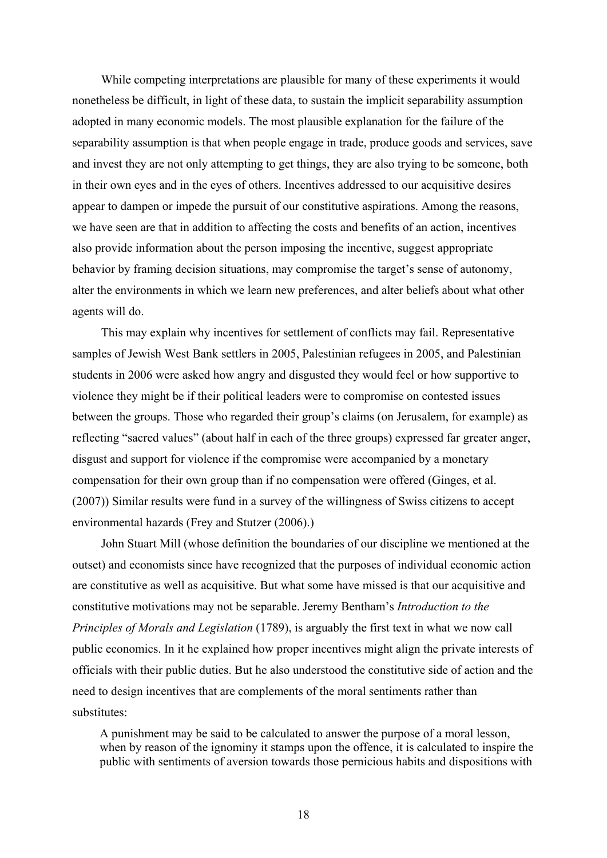While competing interpretations are plausible for many of these experiments it would nonetheless be difficult, in light of these data, to sustain the implicit separability assumption adopted in many economic models. The most plausible explanation for the failure of the separability assumption is that when people engage in trade, produce goods and services, save and invest they are not only attempting to get things, they are also trying to be someone, both in their own eyes and in the eyes of others. Incentives addressed to our acquisitive desires appear to dampen or impede the pursuit of our constitutive aspirations. Among the reasons, we have seen are that in addition to affecting the costs and benefits of an action, incentives also provide information about the person imposing the incentive, suggest appropriate behavior by framing decision situations, may compromise the target's sense of autonomy, alter the environments in which we learn new preferences, and alter beliefs about what other agents will do.

This may explain why incentives for settlement of conflicts may fail. Representative samples of Jewish West Bank settlers in 2005, Palestinian refugees in 2005, and Palestinian students in 2006 were asked how angry and disgusted they would feel or how supportive to violence they might be if their political leaders were to compromise on contested issues between the groups. Those who regarded their group's claims (on Jerusalem, for example) as reflecting "sacred values" (about half in each of the three groups) expressed far greater anger, disgust and support for violence if the compromise were accompanied by a monetary compensation for their own group than if no compensation were offered (Ginges, et al. (2007)) Similar results were fund in a survey of the willingness of Swiss citizens to accept environmental hazards (Frey and Stutzer (2006).)

John Stuart Mill (whose definition the boundaries of our discipline we mentioned at the outset) and economists since have recognized that the purposes of individual economic action are constitutive as well as acquisitive. But what some have missed is that our acquisitive and constitutive motivations may not be separable. Jeremy Bentham's *Introduction to the Principles of Morals and Legislation* (1789), is arguably the first text in what we now call public economics. In it he explained how proper incentives might align the private interests of officials with their public duties. But he also understood the constitutive side of action and the need to design incentives that are complements of the moral sentiments rather than substitutes:

A punishment may be said to be calculated to answer the purpose of a moral lesson, when by reason of the ignominy it stamps upon the offence, it is calculated to inspire the public with sentiments of aversion towards those pernicious habits and dispositions with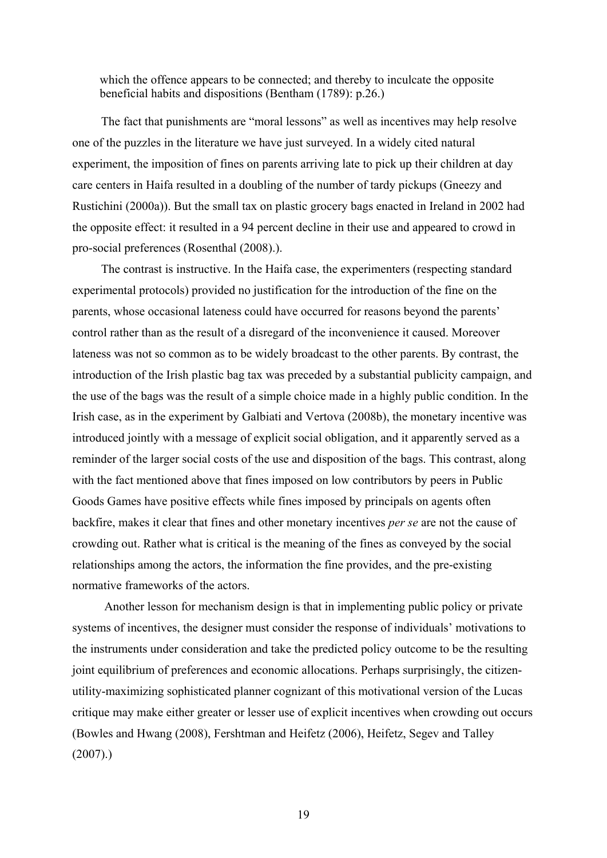which the offence appears to be connected; and thereby to inculcate the opposite beneficial habits and dispositions (Bentham (1789): p.26.)

The fact that punishments are "moral lessons" as well as incentives may help resolve one of the puzzles in the literature we have just surveyed. In a widely cited natural experiment, the imposition of fines on parents arriving late to pick up their children at day care centers in Haifa resulted in a doubling of the number of tardy pickups (Gneezy and Rustichini (2000a)). But the small tax on plastic grocery bags enacted in Ireland in 2002 had the opposite effect: it resulted in a 94 percent decline in their use and appeared to crowd in pro-social preferences (Rosenthal (2008).).

The contrast is instructive. In the Haifa case, the experimenters (respecting standard experimental protocols) provided no justification for the introduction of the fine on the parents, whose occasional lateness could have occurred for reasons beyond the parents' control rather than as the result of a disregard of the inconvenience it caused. Moreover lateness was not so common as to be widely broadcast to the other parents. By contrast, the introduction of the Irish plastic bag tax was preceded by a substantial publicity campaign, and the use of the bags was the result of a simple choice made in a highly public condition. In the Irish case, as in the experiment by Galbiati and Vertova (2008b), the monetary incentive was introduced jointly with a message of explicit social obligation, and it apparently served as a reminder of the larger social costs of the use and disposition of the bags. This contrast, along with the fact mentioned above that fines imposed on low contributors by peers in Public Goods Games have positive effects while fines imposed by principals on agents often backfire, makes it clear that fines and other monetary incentives *per se* are not the cause of crowding out. Rather what is critical is the meaning of the fines as conveyed by the social relationships among the actors, the information the fine provides, and the pre-existing normative frameworks of the actors.

 Another lesson for mechanism design is that in implementing public policy or private systems of incentives, the designer must consider the response of individuals' motivations to the instruments under consideration and take the predicted policy outcome to be the resulting joint equilibrium of preferences and economic allocations. Perhaps surprisingly, the citizenutility-maximizing sophisticated planner cognizant of this motivational version of the Lucas critique may make either greater or lesser use of explicit incentives when crowding out occurs (Bowles and Hwang (2008), Fershtman and Heifetz (2006), Heifetz, Segev and Talley  $(2007)$ .)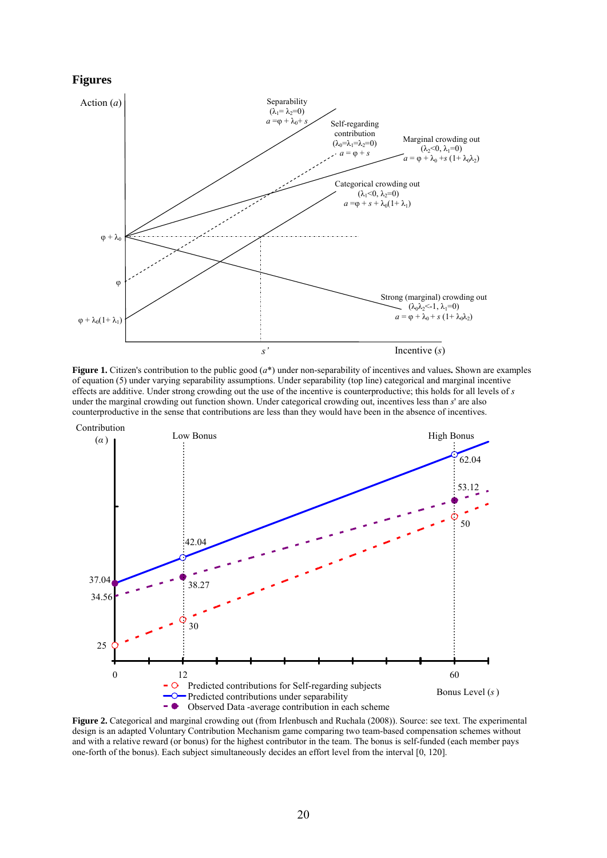#### **Figures**



**Figure 1.** Citizen's contribution to the public good  $(a^*)$  under non-separability of incentives and values. Shown are examples of equation (5) under varying separability assumptions. Under separability (top line) categorical and marginal incentive effects are additive. Under strong crowding out the use of the incentive is counterproductive; this holds for all levels of *s* under the marginal crowding out function shown. Under categorical crowding out, incentives less than *s*' are also counterproductive in the sense that contributions are less than they would have been in the absence of incentives.



**Figure 2.** Categorical and marginal crowding out (from Irlenbusch and Ruchala (2008)). Source: see text. The experimental design is an adapted Voluntary Contribution Mechanism game comparing two team-based compensation schemes without and with a relative reward (or bonus) for the highest contributor in the team. The bonus is self-funded (each member pays one-forth of the bonus). Each subject simultaneously decides an effort level from the interval [0, 120].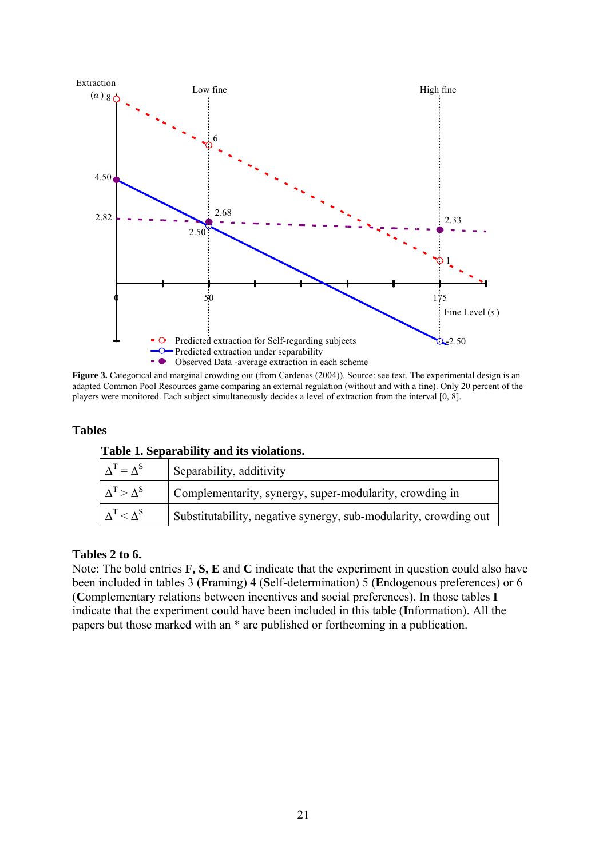

**Figure 3.** Categorical and marginal crowding out (from Cardenas (2004)). Source: see text. The experimental design is an adapted Common Pool Resources game comparing an external regulation (without and with a fine). Only 20 percent of the players were monitored. Each subject simultaneously decides a level of extraction from the interval [0, 8].

# **Tables**

|  |  | Table 1. Separability and its violations. |
|--|--|-------------------------------------------|
|  |  |                                           |

| $\Delta^T = \Delta^S$ | Separability, additivity                                         |
|-----------------------|------------------------------------------------------------------|
| $\Delta^T > \Delta^S$ | Complementarity, synergy, super-modularity, crowding in          |
| $\Delta^T < \Delta^S$ | Substitutability, negative synergy, sub-modularity, crowding out |

# **Tables 2 to 6.**

Note: The bold entries **F, S, E** and **C** indicate that the experiment in question could also have been included in tables 3 (**F**raming) 4 (**S**elf-determination) 5 (**E**ndogenous preferences) or 6 (**C**omplementary relations between incentives and social preferences). In those tables **I**  indicate that the experiment could have been included in this table (**I**nformation). All the papers but those marked with an \* are published or forthcoming in a publication.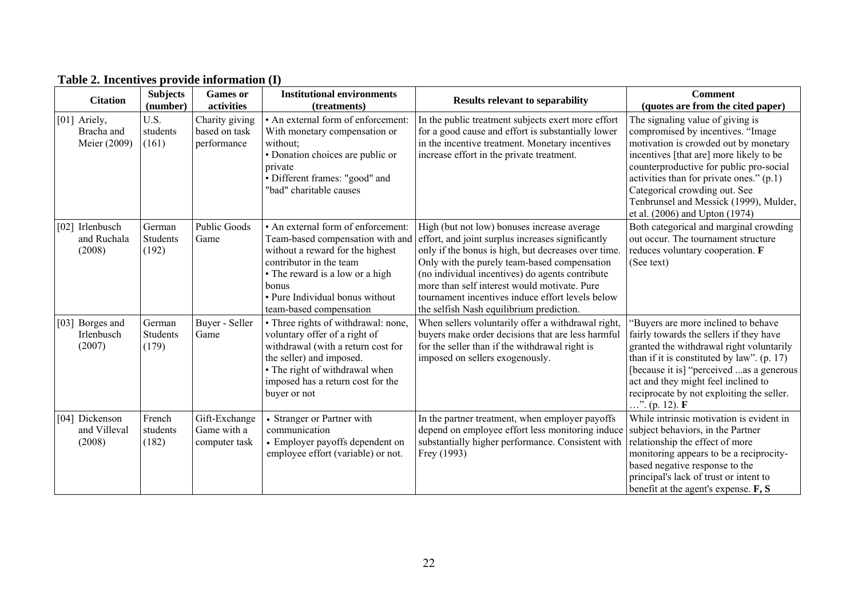| <b>Citation</b>                            | <b>Subjects</b><br>(number)        | <b>Games or</b><br>activities                  | <b>Institutional environments</b><br>(treatments)                                                                                                                                                                                               | <b>Results relevant to separability</b>                                                                                                                                                                                                                                                                                                                                                                    | <b>Comment</b><br>(quotes are from the cited paper)                                                                                                                                                                                                                                                                                                           |
|--------------------------------------------|------------------------------------|------------------------------------------------|-------------------------------------------------------------------------------------------------------------------------------------------------------------------------------------------------------------------------------------------------|------------------------------------------------------------------------------------------------------------------------------------------------------------------------------------------------------------------------------------------------------------------------------------------------------------------------------------------------------------------------------------------------------------|---------------------------------------------------------------------------------------------------------------------------------------------------------------------------------------------------------------------------------------------------------------------------------------------------------------------------------------------------------------|
| [01] Ariely,<br>Bracha and<br>Meier (2009) | U.S.<br>students<br>(161)          | Charity giving<br>based on task<br>performance | • An external form of enforcement:<br>With monetary compensation or<br>without;<br>• Donation choices are public or<br>private<br>• Different frames: "good" and<br>"bad" charitable causes                                                     | In the public treatment subjects exert more effort<br>for a good cause and effort is substantially lower<br>in the incentive treatment. Monetary incentives<br>increase effort in the private treatment.                                                                                                                                                                                                   | The signaling value of giving is<br>compromised by incentives. "Image<br>motivation is crowded out by monetary<br>incentives [that are] more likely to be<br>counterproductive for public pro-social<br>activities than for private ones." (p.1)<br>Categorical crowding out. See<br>Tenbrunsel and Messick (1999), Mulder,<br>et al. (2006) and Upton (1974) |
| [02] Irlenbusch<br>and Ruchala<br>(2008)   | German<br><b>Students</b><br>(192) | <b>Public Goods</b><br>Game                    | • An external form of enforcement:<br>Team-based compensation with and<br>without a reward for the highest<br>contributor in the team<br>• The reward is a low or a high<br>bonus<br>• Pure Individual bonus without<br>team-based compensation | High (but not low) bonuses increase average<br>effort, and joint surplus increases significantly<br>only if the bonus is high, but decreases over time.<br>Only with the purely team-based compensation<br>(no individual incentives) do agents contribute<br>more than self interest would motivate. Pure<br>tournament incentives induce effort levels below<br>the selfish Nash equilibrium prediction. | Both categorical and marginal crowding<br>out occur. The tournament structure<br>reduces voluntary cooperation. F<br>(See text)                                                                                                                                                                                                                               |
| [03] Borges and<br>Irlenbusch<br>(2007)    | German<br><b>Students</b><br>(179) | Buyer - Seller<br>Game                         | • Three rights of withdrawal: none,<br>voluntary offer of a right of<br>withdrawal (with a return cost for<br>the seller) and imposed.<br>• The right of withdrawal when<br>imposed has a return cost for the<br>buyer or not                   | When sellers voluntarily offer a withdrawal right,<br>buyers make order decisions that are less harmful<br>for the seller than if the withdrawal right is<br>imposed on sellers exogenously.                                                                                                                                                                                                               | 'Buyers are more inclined to behave<br>fairly towards the sellers if they have<br>granted the withdrawal right voluntarily<br>than if it is constituted by law". $(p. 17)$<br>[because it is] "perceived as a generous<br>act and they might feel inclined to<br>reciprocate by not exploiting the seller.<br>$\ldots$ ". (p. 12). <b>F</b>                   |
| [04] Dickenson<br>and Villeval<br>(2008)   | French<br>students<br>(182)        | Gift-Exchange<br>Game with a<br>computer task  | • Stranger or Partner with<br>communication<br>• Employer payoffs dependent on<br>employee effort (variable) or not.                                                                                                                            | In the partner treatment, when employer payoffs<br>depend on employee effort less monitoring induce<br>substantially higher performance. Consistent with<br>Frey (1993)                                                                                                                                                                                                                                    | While intrinsic motivation is evident in<br>subject behaviors, in the Partner<br>relationship the effect of more<br>monitoring appears to be a reciprocity-<br>based negative response to the<br>principal's lack of trust or intent to<br>benefit at the agent's expense. F, S                                                                               |

# **Table 2. Incentives provide information (I)**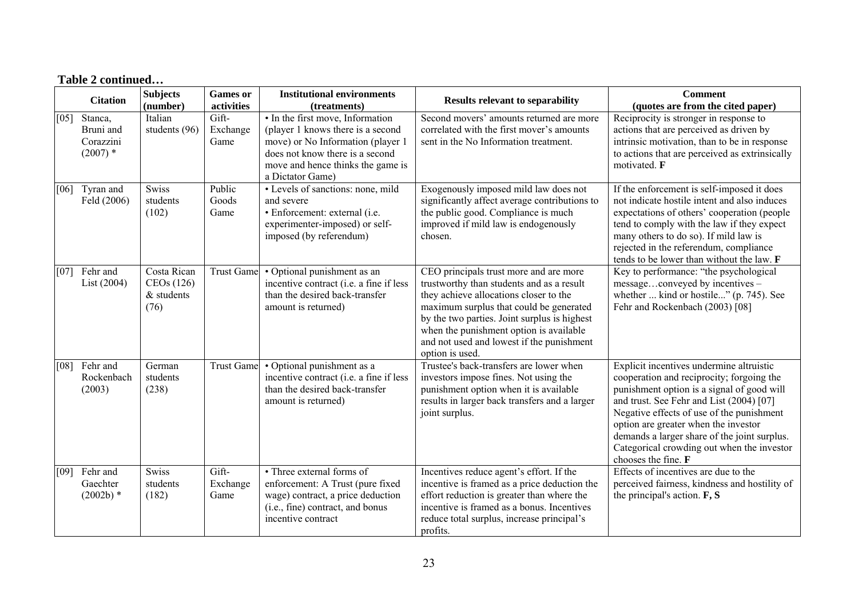|      | <b>Citation</b>                                 | <b>Subjects</b><br>(number)                      | <b>Games</b> or<br>activities | <b>Institutional environments</b><br>(treatments)                                                                                                                                                      | <b>Results relevant to separability</b>                                                                                                                                                                                                                                                                                             | <b>Comment</b><br>(quotes are from the cited paper)                                                                                                                                                                                                                                                                                                                                       |
|------|-------------------------------------------------|--------------------------------------------------|-------------------------------|--------------------------------------------------------------------------------------------------------------------------------------------------------------------------------------------------------|-------------------------------------------------------------------------------------------------------------------------------------------------------------------------------------------------------------------------------------------------------------------------------------------------------------------------------------|-------------------------------------------------------------------------------------------------------------------------------------------------------------------------------------------------------------------------------------------------------------------------------------------------------------------------------------------------------------------------------------------|
| [05] | Stanca,<br>Bruni and<br>Corazzini<br>$(2007)$ * | Italian<br>students (96)                         | Gift-<br>Exchange<br>Game     | • In the first move, Information<br>(player 1 knows there is a second<br>move) or No Information (player 1<br>does not know there is a second<br>move and hence thinks the game is<br>a Dictator Game) | Second movers' amounts returned are more<br>correlated with the first mover's amounts<br>sent in the No Information treatment.                                                                                                                                                                                                      | Reciprocity is stronger in response to<br>actions that are perceived as driven by<br>intrinsic motivation, than to be in response<br>to actions that are perceived as extrinsically<br>motivated. F                                                                                                                                                                                       |
| [06] | Tyran and<br>Feld (2006)                        | <b>Swiss</b><br>students<br>(102)                | Public<br>Goods<br>Game       | • Levels of sanctions: none, mild<br>and severe<br>· Enforcement: external (i.e.<br>experimenter-imposed) or self-<br>imposed (by referendum)                                                          | Exogenously imposed mild law does not<br>significantly affect average contributions to<br>the public good. Compliance is much<br>improved if mild law is endogenously<br>chosen.                                                                                                                                                    | If the enforcement is self-imposed it does<br>not indicate hostile intent and also induces<br>expectations of others' cooperation (people)<br>tend to comply with the law if they expect<br>many others to do so). If mild law is<br>rejected in the referendum, compliance<br>tends to be lower than without the law. F                                                                  |
| [07] | Fehr and<br>List (2004)                         | Costa Rican<br>CEOs(126)<br>$&$ students<br>(76) | <b>Trust Game</b>             | • Optional punishment as an<br>incentive contract (i.e. a fine if less<br>than the desired back-transfer<br>amount is returned)                                                                        | CEO principals trust more and are more<br>trustworthy than students and as a result<br>they achieve allocations closer to the<br>maximum surplus that could be generated<br>by the two parties. Joint surplus is highest<br>when the punishment option is available<br>and not used and lowest if the punishment<br>option is used. | Key to performance: "the psychological<br>messageconveyed by incentives -<br>whether  kind or hostile" (p. 745). See<br>Fehr and Rockenbach (2003) [08]                                                                                                                                                                                                                                   |
| [08] | Fehr and<br>Rockenbach<br>(2003)                | German<br>students<br>(238)                      | <b>Trust Game</b>             | • Optional punishment as a<br>incentive contract (i.e. a fine if less<br>than the desired back-transfer<br>amount is returned)                                                                         | Trustee's back-transfers are lower when<br>investors impose fines. Not using the<br>punishment option when it is available<br>results in larger back transfers and a larger<br>joint surplus.                                                                                                                                       | Explicit incentives undermine altruistic<br>cooperation and reciprocity; forgoing the<br>punishment option is a signal of good will<br>and trust. See Fehr and List (2004) [07]<br>Negative effects of use of the punishment<br>option are greater when the investor<br>demands a larger share of the joint surplus.<br>Categorical crowding out when the investor<br>chooses the fine. F |
| [09] | Fehr and<br>Gaechter<br>$(2002b)$ *             | <b>Swiss</b><br>students<br>(182)                | Gift-<br>Exchange<br>Game     | • Three external forms of<br>enforcement: A Trust (pure fixed<br>wage) contract, a price deduction<br>(i.e., fine) contract, and bonus<br>incentive contract                                           | Incentives reduce agent's effort. If the<br>incentive is framed as a price deduction the<br>effort reduction is greater than where the<br>incentive is framed as a bonus. Incentives<br>reduce total surplus, increase principal's<br>profits.                                                                                      | Effects of incentives are due to the<br>perceived fairness, kindness and hostility of<br>the principal's action. $F, S$                                                                                                                                                                                                                                                                   |

# **Table 2 continued…**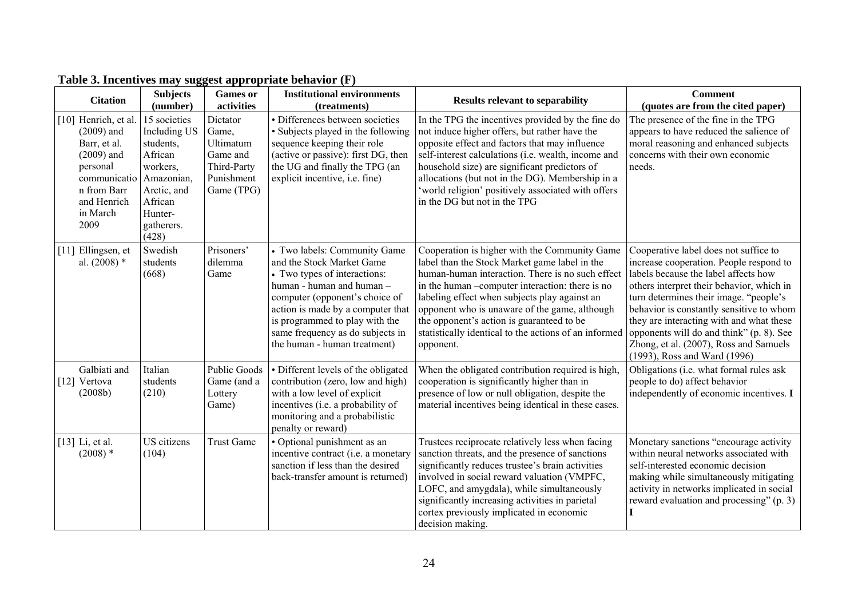| <b>Citation</b>                                                                                                                                   | <b>Subjects</b><br>(number)                                                                                                                | <b>Games</b> or<br>activities                                                         | <b>Institutional environments</b><br>(treatments)                                                                                                                                                                                                                                                   | <b>Results relevant to separability</b>                                                                                                                                                                                                                                                                                                                                                                                    | <b>Comment</b><br>(quotes are from the cited paper)                                                                                                                                                                                                                                                                                                                                                                           |
|---------------------------------------------------------------------------------------------------------------------------------------------------|--------------------------------------------------------------------------------------------------------------------------------------------|---------------------------------------------------------------------------------------|-----------------------------------------------------------------------------------------------------------------------------------------------------------------------------------------------------------------------------------------------------------------------------------------------------|----------------------------------------------------------------------------------------------------------------------------------------------------------------------------------------------------------------------------------------------------------------------------------------------------------------------------------------------------------------------------------------------------------------------------|-------------------------------------------------------------------------------------------------------------------------------------------------------------------------------------------------------------------------------------------------------------------------------------------------------------------------------------------------------------------------------------------------------------------------------|
| [10] Henrich, et al<br>$(2009)$ and<br>Barr, et al.<br>$(2009)$ and<br>personal<br>communicatio<br>n from Barr<br>and Henrich<br>in March<br>2009 | 15 societies<br>Including US<br>students,<br>African<br>workers,<br>Amazonian,<br>Arctic, and<br>African<br>Hunter-<br>gatherers.<br>(428) | Dictator<br>Game,<br>Ultimatum<br>Game and<br>Third-Party<br>Punishment<br>Game (TPG) | • Differences between societies<br>• Subjects played in the following<br>sequence keeping their role<br>(active or passive): first DG, then<br>the UG and finally the TPG (an<br>explicit incentive, i.e. fine)                                                                                     | In the TPG the incentives provided by the fine do<br>not induce higher offers, but rather have the<br>opposite effect and factors that may influence<br>self-interest calculations (i.e. wealth, income and<br>household size) are significant predictors of<br>allocations (but not in the DG). Membership in a<br>'world religion' positively associated with offers<br>in the DG but not in the TPG                     | The presence of the fine in the TPG<br>appears to have reduced the salience of<br>moral reasoning and enhanced subjects<br>concerns with their own economic<br>needs.                                                                                                                                                                                                                                                         |
| [11] Ellingsen, et<br>al. $(2008)$ *                                                                                                              | Swedish<br>students<br>(668)                                                                                                               | Prisoners'<br>dilemma<br>Game                                                         | • Two labels: Community Game<br>and the Stock Market Game<br>• Two types of interactions:<br>human - human and human -<br>computer (opponent's choice of<br>action is made by a computer that<br>is programmed to play with the<br>same frequency as do subjects in<br>the human - human treatment) | Cooperation is higher with the Community Game<br>label than the Stock Market game label in the<br>human-human interaction. There is no such effect<br>in the human -computer interaction: there is no<br>labeling effect when subjects play against an<br>opponent who is unaware of the game, although<br>the opponent's action is guaranteed to be<br>statistically identical to the actions of an informed<br>opponent. | Cooperative label does not suffice to<br>increase cooperation. People respond to<br>labels because the label affects how<br>others interpret their behavior, which in<br>turn determines their image. "people's<br>behavior is constantly sensitive to whom<br>they are interacting with and what these<br>opponents will do and think" (p. 8). See<br>Zhong, et al. (2007), Ross and Samuels<br>(1993), Ross and Ward (1996) |
| Galbiati and<br>[12] Vertova<br>(2008b)                                                                                                           | Italian<br>students<br>(210)                                                                                                               | <b>Public Goods</b><br>Game (and a<br>Lottery<br>Game)                                | • Different levels of the obligated<br>contribution (zero, low and high)<br>with a low level of explicit<br>incentives (i.e. a probability of<br>monitoring and a probabilistic<br>penalty or reward)                                                                                               | When the obligated contribution required is high,<br>cooperation is significantly higher than in<br>presence of low or null obligation, despite the<br>material incentives being identical in these cases.                                                                                                                                                                                                                 | Obligations (i.e. what formal rules ask<br>people to do) affect behavior<br>independently of economic incentives. I                                                                                                                                                                                                                                                                                                           |
| $[13]$ Li, et al.<br>$(2008)$ *                                                                                                                   | US citizens<br>(104)                                                                                                                       | <b>Trust Game</b>                                                                     | • Optional punishment as an<br>incentive contract (i.e. a monetary<br>sanction if less than the desired<br>back-transfer amount is returned)                                                                                                                                                        | Trustees reciprocate relatively less when facing<br>sanction threats, and the presence of sanctions<br>significantly reduces trustee's brain activities<br>involved in social reward valuation (VMPFC,<br>LOFC, and amygdala), while simultaneously<br>significantly increasing activities in parietal<br>cortex previously implicated in economic<br>decision making.                                                     | Monetary sanctions "encourage activity<br>within neural networks associated with<br>self-interested economic decision<br>making while simultaneously mitigating<br>activity in networks implicated in social<br>reward evaluation and processing" (p. 3)                                                                                                                                                                      |

# **Table 3. Incentives may suggest appropriate behavior (F)**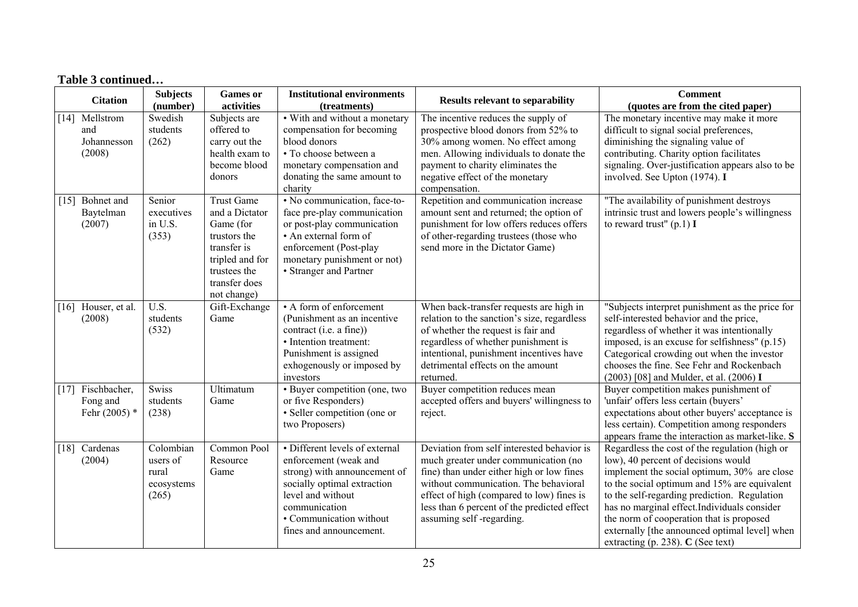|                    | <b>Citation</b>                             | <b>Subjects</b><br>(number)                                               | <b>Games</b> or<br>activities                                                                                                                      | <b>Institutional environments</b><br>(treatments)                                                                                                                                                                  | <b>Results relevant to separability</b>                                                                                                                                                                                                                                                          | <b>Comment</b><br>(quotes are from the cited paper)                                                                                                                                                                                                                                                                                                                                                                     |
|--------------------|---------------------------------------------|---------------------------------------------------------------------------|----------------------------------------------------------------------------------------------------------------------------------------------------|--------------------------------------------------------------------------------------------------------------------------------------------------------------------------------------------------------------------|--------------------------------------------------------------------------------------------------------------------------------------------------------------------------------------------------------------------------------------------------------------------------------------------------|-------------------------------------------------------------------------------------------------------------------------------------------------------------------------------------------------------------------------------------------------------------------------------------------------------------------------------------------------------------------------------------------------------------------------|
| $\lceil 14 \rceil$ | Mellstrom<br>and<br>Johannesson<br>(2008)   | Swedish<br>students<br>(262)                                              | Subjects are<br>offered to<br>carry out the<br>health exam to<br>become blood<br>donors                                                            | • With and without a monetary<br>compensation for becoming<br>blood donors<br>· To choose between a<br>monetary compensation and<br>donating the same amount to<br>charity                                         | The incentive reduces the supply of<br>prospective blood donors from 52% to<br>30% among women. No effect among<br>men. Allowing individuals to donate the<br>payment to charity eliminates the<br>negative effect of the monetary<br>compensation.                                              | The monetary incentive may make it more<br>difficult to signal social preferences,<br>diminishing the signaling value of<br>contributing. Charity option facilitates<br>signaling. Over-justification appears also to be<br>involved. See Upton (1974). I                                                                                                                                                               |
| $[15]$             | Bohnet and<br>Baytelman<br>(2007)           | Senior<br>executives<br>in U.S.<br>(353)                                  | <b>Trust Game</b><br>and a Dictator<br>Game (for<br>trustors the<br>transfer is<br>tripled and for<br>trustees the<br>transfer does<br>not change) | • No communication, face-to-<br>face pre-play communication<br>or post-play communication<br>• An external form of<br>enforcement (Post-play<br>monetary punishment or not)<br>• Stranger and Partner              | Repetition and communication increase<br>amount sent and returned; the option of<br>punishment for low offers reduces offers<br>of other-regarding trustees (those who<br>send more in the Dictator Game)                                                                                        | "The availability of punishment destroys<br>intrinsic trust and lowers people's willingness<br>to reward trust" $(p.1)$ I                                                                                                                                                                                                                                                                                               |
|                    | [16] Houser, et al.<br>(2008)               | $\overline{U.S.}$<br>students<br>(532)                                    | Gift-Exchange<br>Game                                                                                                                              | • A form of enforcement<br>(Punishment as an incentive<br>contract (i.e. a fine))<br>• Intention treatment:<br>Punishment is assigned<br>exhogenously or imposed by<br>investors                                   | When back-transfer requests are high in<br>relation to the sanction's size, regardless<br>of whether the request is fair and<br>regardless of whether punishment is<br>intentional, punishment incentives have<br>detrimental effects on the amount<br>returned.                                 | "Subjects interpret punishment as the price for<br>self-interested behavior and the price,<br>regardless of whether it was intentionally<br>imposed, is an excuse for selfishness" (p.15)<br>Categorical crowding out when the investor<br>chooses the fine. See Fehr and Rockenbach<br>(2003) [08] and Mulder, et al. (2006) I                                                                                         |
| $[17]$             | Fischbacher,<br>Fong and<br>Fehr $(2005)$ * | <b>Swiss</b><br>students<br>(238)                                         | Ultimatum<br>Game                                                                                                                                  | • Buyer competition (one, two<br>or five Responders)<br>• Seller competition (one or<br>two Proposers)                                                                                                             | Buyer competition reduces mean<br>accepted offers and buyers' willingness to<br>reject.                                                                                                                                                                                                          | Buyer competition makes punishment of<br>'unfair' offers less certain (buyers'<br>expectations about other buyers' acceptance is<br>less certain). Competition among responders<br>appears frame the interaction as market-like. S                                                                                                                                                                                      |
| $\lceil 18 \rceil$ | Cardenas<br>(2004)                          | $\overline{\text{Colombian}}$<br>users of<br>rural<br>ecosystems<br>(265) | Common Pool<br>Resource<br>Game                                                                                                                    | • Different levels of external<br>enforcement (weak and<br>strong) with announcement of<br>socially optimal extraction<br>level and without<br>communication<br>• Communication without<br>fines and announcement. | Deviation from self interested behavior is<br>much greater under communication (no<br>fine) than under either high or low fines<br>without communication. The behavioral<br>effect of high (compared to low) fines is<br>less than 6 percent of the predicted effect<br>assuming self-regarding. | Regardless the cost of the regulation (high or<br>low), 40 percent of decisions would<br>implement the social optimum, 30% are close<br>to the social optimum and 15% are equivalent<br>to the self-regarding prediction. Regulation<br>has no marginal effect.Individuals consider<br>the norm of cooperation that is proposed<br>externally [the announced optimal level] when<br>extracting (p. 238). $C$ (See text) |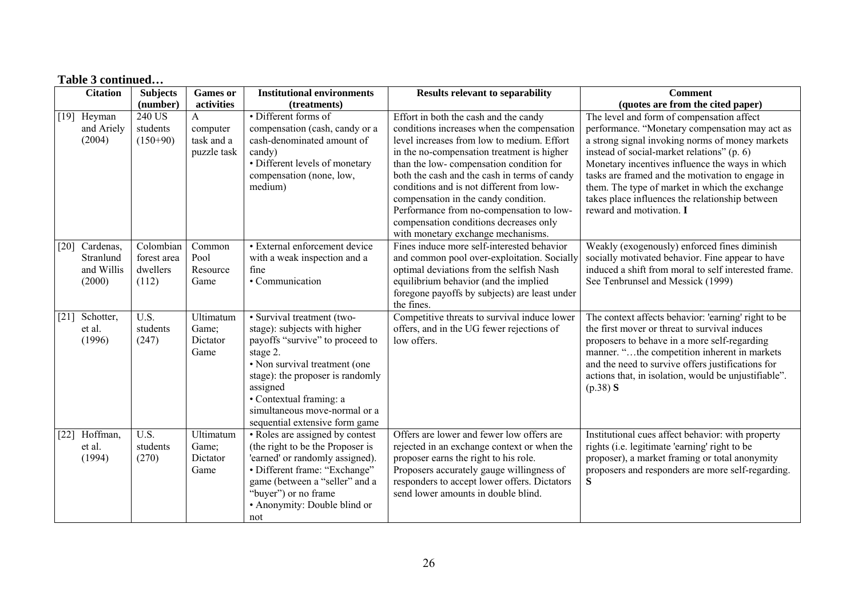|        | <b>Citation</b>                                | <b>Subjects</b>                               | <b>Games</b> or                                       | <b>Institutional environments</b>                                                                                                                                                                                                                                                        | <b>Results relevant to separability</b>                                                                                                                                                                                                                                                                                                                                                                                                                                                     | <b>Comment</b>                                                                                                                                                                                                                                                                                                                                                                                                                       |
|--------|------------------------------------------------|-----------------------------------------------|-------------------------------------------------------|------------------------------------------------------------------------------------------------------------------------------------------------------------------------------------------------------------------------------------------------------------------------------------------|---------------------------------------------------------------------------------------------------------------------------------------------------------------------------------------------------------------------------------------------------------------------------------------------------------------------------------------------------------------------------------------------------------------------------------------------------------------------------------------------|--------------------------------------------------------------------------------------------------------------------------------------------------------------------------------------------------------------------------------------------------------------------------------------------------------------------------------------------------------------------------------------------------------------------------------------|
|        |                                                | (number)                                      | activities                                            | (treatments)                                                                                                                                                                                                                                                                             |                                                                                                                                                                                                                                                                                                                                                                                                                                                                                             | (quotes are from the cited paper)                                                                                                                                                                                                                                                                                                                                                                                                    |
| $[19]$ | Heyman<br>and Ariely<br>(2004)                 | 240 US<br>students<br>$(150+90)$              | $\mathbf{A}$<br>computer<br>task and a<br>puzzle task | • Different forms of<br>compensation (cash, candy or a<br>cash-denominated amount of<br>candy)<br>• Different levels of monetary<br>compensation (none, low,<br>medium)                                                                                                                  | Effort in both the cash and the candy<br>conditions increases when the compensation<br>level increases from low to medium. Effort<br>in the no-compensation treatment is higher<br>than the low-compensation condition for<br>both the cash and the cash in terms of candy<br>conditions and is not different from low-<br>compensation in the candy condition.<br>Performance from no-compensation to low-<br>compensation conditions decreases only<br>with monetary exchange mechanisms. | The level and form of compensation affect<br>performance. "Monetary compensation may act as<br>a strong signal invoking norms of money markets<br>instead of social-market relations" (p. 6)<br>Monetary incentives influence the ways in which<br>tasks are framed and the motivation to engage in<br>them. The type of market in which the exchange<br>takes place influences the relationship between<br>reward and motivation. I |
| $[20]$ | Cardenas,<br>Stranlund<br>and Willis<br>(2000) | Colombian<br>forest area<br>dwellers<br>(112) | Common<br>Pool<br>Resource<br>Game                    | • External enforcement device<br>with a weak inspection and a<br>fine<br>• Communication                                                                                                                                                                                                 | Fines induce more self-interested behavior<br>and common pool over-exploitation. Socially<br>optimal deviations from the selfish Nash<br>equilibrium behavior (and the implied<br>foregone payoffs by subjects) are least under<br>the fines.                                                                                                                                                                                                                                               | Weakly (exogenously) enforced fines diminish<br>socially motivated behavior. Fine appear to have<br>induced a shift from moral to self interested frame.<br>See Tenbrunsel and Messick (1999)                                                                                                                                                                                                                                        |
| $[21]$ | Schotter,<br>et al.<br>(1996)                  | $\overline{U.S.}$<br>students<br>(247)        | Ultimatum<br>Game;<br>Dictator<br>Game                | • Survival treatment (two-<br>stage): subjects with higher<br>payoffs "survive" to proceed to<br>stage 2.<br>• Non survival treatment (one<br>stage): the proposer is randomly<br>assigned<br>• Contextual framing: a<br>simultaneous move-normal or a<br>sequential extensive form game | Competitive threats to survival induce lower<br>offers, and in the UG fewer rejections of<br>low offers.                                                                                                                                                                                                                                                                                                                                                                                    | The context affects behavior: 'earning' right to be<br>the first mover or threat to survival induces<br>proposers to behave in a more self-regarding<br>manner. "the competition inherent in markets<br>and the need to survive offers justifications for<br>actions that, in isolation, would be unjustifiable".<br>(p.38) S                                                                                                        |
| $[22]$ | Hoffman,<br>et al.<br>(1994)                   | $\overline{U.S.}$<br>students<br>(270)        | Ultimatum<br>Game;<br>Dictator<br>Game                | • Roles are assigned by contest<br>(the right to be the Proposer is<br>'earned' or randomly assigned).<br>· Different frame: "Exchange"<br>game (between a "seller" and a<br>"buyer") or no frame<br>• Anonymity: Double blind or<br>not                                                 | Offers are lower and fewer low offers are<br>rejected in an exchange context or when the<br>proposer earns the right to his role.<br>Proposers accurately gauge willingness of<br>responders to accept lower offers. Dictators<br>send lower amounts in double blind.                                                                                                                                                                                                                       | Institutional cues affect behavior: with property<br>rights (i.e. legitimate 'earning' right to be<br>proposer), a market framing or total anonymity<br>proposers and responders are more self-regarding.<br>S                                                                                                                                                                                                                       |

# **Table 3 continued…**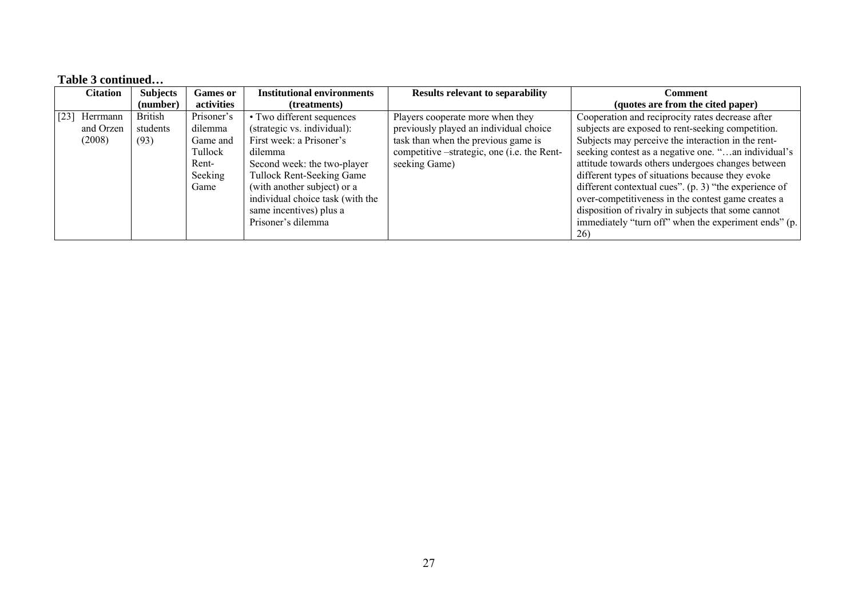#### **Table 3 continued…**

|      | <b>Citation</b> | <b>Subjects</b> | <b>Games or</b> | <b>Institutional environments</b> | <b>Results relevant to separability</b>     | Comment                                                 |
|------|-----------------|-----------------|-----------------|-----------------------------------|---------------------------------------------|---------------------------------------------------------|
|      |                 | (number)        | activities      | (treatments)                      |                                             | (quotes are from the cited paper)                       |
| [23] | Herrmann        | <b>British</b>  | Prisoner's      | • Two different sequences         | Players cooperate more when they            | Cooperation and reciprocity rates decrease after        |
|      | and Orzen       | students        | dilemma         | (strategic vs. individual):       | previously played an individual choice      | subjects are exposed to rent-seeking competition.       |
|      | (2008)          | (93)            | Game and        | First week: a Prisoner's          | task than when the previous game is         | Subjects may perceive the interaction in the rent-      |
|      |                 |                 | Tullock         | dilemma                           | competitive –strategic, one (i.e. the Rent- | seeking contest as a negative one. "an individual's     |
|      |                 |                 | Rent-           | Second week: the two-player       | seeking Game)                               | attitude towards others undergoes changes between       |
|      |                 |                 | Seeking         | Tullock Rent-Seeking Game         |                                             | different types of situations because they evoke        |
|      |                 |                 | Game            | (with another subject) or a       |                                             | different contextual cues". $(p. 3)$ "the experience of |
|      |                 |                 |                 | individual choice task (with the  |                                             | over-competitiveness in the contest game creates a      |
|      |                 |                 |                 | same incentives) plus a           |                                             | disposition of rivalry in subjects that some cannot     |
|      |                 |                 |                 | Prisoner's dilemma                |                                             | immediately "turn off" when the experiment ends" (p.    |
|      |                 |                 |                 |                                   |                                             | <b>26</b>                                               |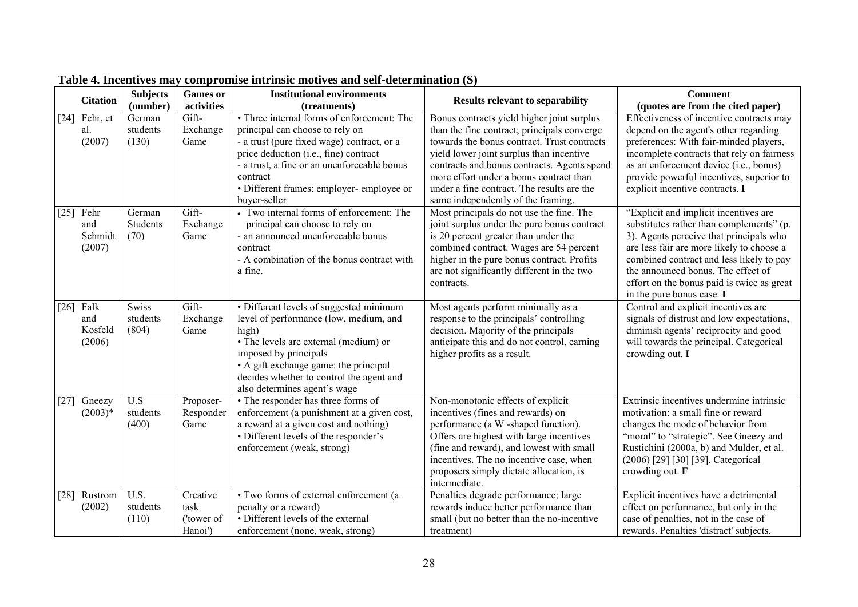|                    | <b>Citation</b>                  | <b>Subjects</b><br>(number)       | <b>Games</b> or<br>activities             | <b>Institutional environments</b><br>(treatments)                                                                                                                                                                                                                                            | <b>Results relevant to separability</b>                                                                                                                                                                                                                                                                                                                            | <b>Comment</b><br>(quotes are from the cited paper)                                                                                                                                                                                                                                                                                    |
|--------------------|----------------------------------|-----------------------------------|-------------------------------------------|----------------------------------------------------------------------------------------------------------------------------------------------------------------------------------------------------------------------------------------------------------------------------------------------|--------------------------------------------------------------------------------------------------------------------------------------------------------------------------------------------------------------------------------------------------------------------------------------------------------------------------------------------------------------------|----------------------------------------------------------------------------------------------------------------------------------------------------------------------------------------------------------------------------------------------------------------------------------------------------------------------------------------|
| $[24]$             | Fehr, et<br>al.<br>(2007)        | German<br>students<br>(130)       | Gift-<br>Exchange<br>Game                 | • Three internal forms of enforcement: The<br>principal can choose to rely on<br>- a trust (pure fixed wage) contract, or a<br>price deduction (i.e., fine) contract<br>- a trust, a fine or an unenforceable bonus<br>contract<br>· Different frames: employer- employee or<br>buyer-seller | Bonus contracts yield higher joint surplus<br>than the fine contract; principals converge<br>towards the bonus contract. Trust contracts<br>yield lower joint surplus than incentive<br>contracts and bonus contracts. Agents spend<br>more effort under a bonus contract than<br>under a fine contract. The results are the<br>same independently of the framing. | Effectiveness of incentive contracts may<br>depend on the agent's other regarding<br>preferences: With fair-minded players,<br>incomplete contracts that rely on fairness<br>as an enforcement device (i.e., bonus)<br>provide powerful incentives, superior to<br>explicit incentive contracts. I                                     |
| $[25]$             | Fehr<br>and<br>Schmidt<br>(2007) | German<br>Students<br>(70)        | Gift-<br>Exchange<br>Game                 | • Two internal forms of enforcement: The<br>principal can choose to rely on<br>- an announced unenforceable bonus<br>contract<br>- A combination of the bonus contract with<br>a fine.                                                                                                       | Most principals do not use the fine. The<br>joint surplus under the pure bonus contract<br>is 20 percent greater than under the<br>combined contract. Wages are 54 percent<br>higher in the pure bonus contract. Profits<br>are not significantly different in the two<br>contracts.                                                                               | "Explicit and implicit incentives are<br>substitutes rather than complements" (p.<br>3). Agents perceive that principals who<br>are less fair are more likely to choose a<br>combined contract and less likely to pay<br>the announced bonus. The effect of<br>effort on the bonus paid is twice as great<br>in the pure bonus case. I |
| $[26]$             | Falk<br>and<br>Kosfeld<br>(2006) | <b>Swiss</b><br>students<br>(804) | Gift-<br>Exchange<br>Game                 | • Different levels of suggested minimum<br>level of performance (low, medium, and<br>high)<br>• The levels are external (medium) or<br>imposed by principals<br>• A gift exchange game: the principal<br>decides whether to control the agent and<br>also determines agent's wage            | Most agents perform minimally as a<br>response to the principals' controlling<br>decision. Majority of the principals<br>anticipate this and do not control, earning<br>higher profits as a result.                                                                                                                                                                | Control and explicit incentives are<br>signals of distrust and low expectations,<br>diminish agents' reciprocity and good<br>will towards the principal. Categorical<br>crowding out. I                                                                                                                                                |
| $[27]$             | Gneezy<br>$(2003)*$              | U.S<br>students<br>(400)          | Proposer-<br>Responder<br>Game            | • The responder has three forms of<br>enforcement (a punishment at a given cost,<br>a reward at a given cost and nothing)<br>• Different levels of the responder's<br>enforcement (weak, strong)                                                                                             | Non-monotonic effects of explicit<br>incentives (fines and rewards) on<br>performance (a W -shaped function).<br>Offers are highest with large incentives<br>(fine and reward), and lowest with small<br>incentives. The no incentive case, when<br>proposers simply dictate allocation, is<br>intermediate.                                                       | Extrinsic incentives undermine intrinsic<br>motivation: a small fine or reward<br>changes the mode of behavior from<br>"moral" to "strategic". See Gneezy and<br>Rustichini (2000a, b) and Mulder, et al.<br>(2006) [29] [30] [39]. Categorical<br>crowding out. $\bf{F}$                                                              |
| $\lceil 28 \rceil$ | Rustrom<br>(2002)                | U.S.<br>students<br>(110)         | Creative<br>task<br>('tower of<br>Hanoi') | • Two forms of external enforcement (a<br>penalty or a reward)<br>• Different levels of the external<br>enforcement (none, weak, strong)                                                                                                                                                     | Penalties degrade performance; large<br>rewards induce better performance than<br>small (but no better than the no-incentive<br>treatment)                                                                                                                                                                                                                         | Explicit incentives have a detrimental<br>effect on performance, but only in the<br>case of penalties, not in the case of<br>rewards. Penalties 'distract' subjects.                                                                                                                                                                   |

# **Table 4. Incentives may compromise intrinsic motives and self-determination (S)**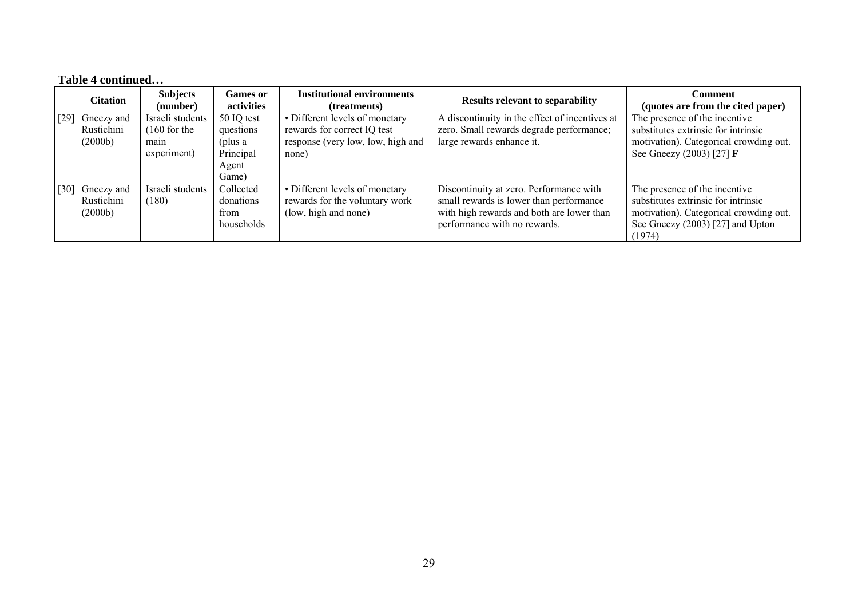# **Table 4 continued…**

| <b>Citation</b>                             | <b>Subjects</b><br>(number)           | <b>Games or</b><br>activities                       | <b>Institutional environments</b><br>(treatments)                                        | <b>Results relevant to separability</b>                                                                                                                         | <b>Comment</b><br>(quotes are from the cited paper)                                                                                                          |
|---------------------------------------------|---------------------------------------|-----------------------------------------------------|------------------------------------------------------------------------------------------|-----------------------------------------------------------------------------------------------------------------------------------------------------------------|--------------------------------------------------------------------------------------------------------------------------------------------------------------|
| Gneezy and<br>[29]<br>Rustichini            | Israeli students                      | 50 IQ test                                          | • Different levels of monetary                                                           | A discontinuity in the effect of incentives at                                                                                                                  | The presence of the incentive<br>substitutes extrinsic for intrinsic                                                                                         |
| (2000b)                                     | $(160$ for the<br>main<br>experiment) | questions<br>(plus a<br>Principal<br>Agent<br>Game) | rewards for correct IQ test<br>response (very low, low, high and<br>none)                | zero. Small rewards degrade performance;<br>large rewards enhance it.                                                                                           | motivation). Categorical crowding out.<br>See Gneezy (2003) [27] <b>F</b>                                                                                    |
| Gneezy and<br>[30]<br>Rustichini<br>(2000b) | Israeli students<br>(180)             | Collected<br>donations<br>from<br>households        | • Different levels of monetary<br>rewards for the voluntary work<br>(low, high and none) | Discontinuity at zero. Performance with<br>small rewards is lower than performance<br>with high rewards and both are lower than<br>performance with no rewards. | The presence of the incentive<br>substitutes extrinsic for intrinsic<br>motivation). Categorical crowding out.<br>See Gneezy (2003) [27] and Upton<br>(1974) |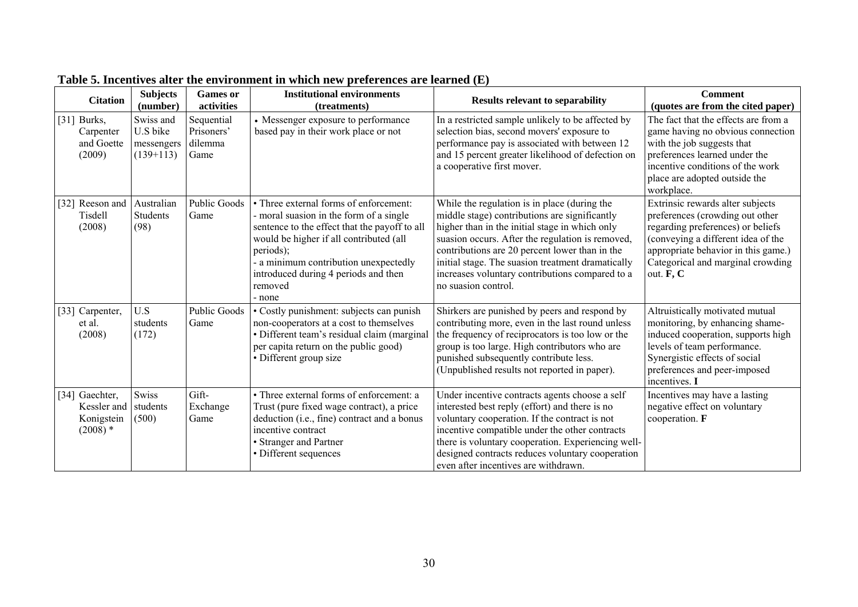| <b>Citation</b>                                                      | <b>Subjects</b><br>(number)                        | <b>Games or</b><br>activities               | <b>Institutional environments</b><br>(treatments)                                                                                                                                                                                                                                                | <b>Results relevant to separability</b>                                                                                                                                                                                                                                                                                                                                              | <b>Comment</b><br>(quotes are from the cited paper)                                                                                                                                                                                     |
|----------------------------------------------------------------------|----------------------------------------------------|---------------------------------------------|--------------------------------------------------------------------------------------------------------------------------------------------------------------------------------------------------------------------------------------------------------------------------------------------------|--------------------------------------------------------------------------------------------------------------------------------------------------------------------------------------------------------------------------------------------------------------------------------------------------------------------------------------------------------------------------------------|-----------------------------------------------------------------------------------------------------------------------------------------------------------------------------------------------------------------------------------------|
| [31] Burks,<br>Carpenter<br>and Goette<br>(2009)                     | Swiss and<br>U.S bike<br>messengers<br>$(139+113)$ | Sequential<br>Prisoners'<br>dilemma<br>Game | • Messenger exposure to performance<br>based pay in their work place or not                                                                                                                                                                                                                      | In a restricted sample unlikely to be affected by<br>selection bias, second movers' exposure to<br>performance pay is associated with between 12<br>and 15 percent greater likelihood of defection on<br>a cooperative first mover.                                                                                                                                                  | The fact that the effects are from a<br>game having no obvious connection<br>with the job suggests that<br>preferences learned under the<br>incentive conditions of the work<br>place are adopted outside the<br>workplace.             |
| [32] Reeson and<br>Tisdell<br>(2008)                                 | Australian<br><b>Students</b><br>(98)              | <b>Public Goods</b><br>Game                 | • Three external forms of enforcement:<br>- moral suasion in the form of a single<br>sentence to the effect that the payoff to all<br>would be higher if all contributed (all<br>periods);<br>- a minimum contribution unexpectedly<br>introduced during 4 periods and then<br>removed<br>- none | While the regulation is in place (during the<br>middle stage) contributions are significantly<br>higher than in the initial stage in which only<br>suasion occurs. After the regulation is removed,<br>contributions are 20 percent lower than in the<br>initial stage. The suasion treatment dramatically<br>increases voluntary contributions compared to a<br>no suasion control. | Extrinsic rewards alter subjects<br>preferences (crowding out other<br>regarding preferences) or beliefs<br>(conveying a different idea of the<br>appropriate behavior in this game.)<br>Categorical and marginal crowding<br>out. F, C |
| [33] Carpenter,<br>et al.<br>(2008)                                  | U.S<br>students<br>(172)                           | <b>Public Goods</b><br>Game                 | • Costly punishment: subjects can punish<br>non-cooperators at a cost to themselves<br>· Different team's residual claim (marginal<br>per capita return on the public good)<br>• Different group size                                                                                            | Shirkers are punished by peers and respond by<br>contributing more, even in the last round unless<br>the frequency of reciprocators is too low or the<br>group is too large. High contributors who are<br>punished subsequently contribute less.<br>(Unpublished results not reported in paper).                                                                                     | Altruistically motivated mutual<br>monitoring, by enhancing shame-<br>induced cooperation, supports high<br>levels of team performance.<br>Synergistic effects of social<br>preferences and peer-imposed<br>incentives. I               |
| Gaechter,<br>[34]<br>Kessler and students<br>Konigstein<br>$(2008)*$ | Swiss<br>(500)                                     | Gift-<br>Exchange<br>Game                   | • Three external forms of enforcement: a<br>Trust (pure fixed wage contract), a price<br>deduction (i.e., fine) contract and a bonus<br>incentive contract<br>• Stranger and Partner<br>• Different sequences                                                                                    | Under incentive contracts agents choose a self<br>interested best reply (effort) and there is no<br>voluntary cooperation. If the contract is not<br>incentive compatible under the other contracts<br>there is voluntary cooperation. Experiencing well-<br>designed contracts reduces voluntary cooperation<br>even after incentives are withdrawn.                                | Incentives may have a lasting<br>negative effect on voluntary<br>cooperation. F                                                                                                                                                         |

# **Table 5. Incentives alter the environment in which new preferences are learned (E)**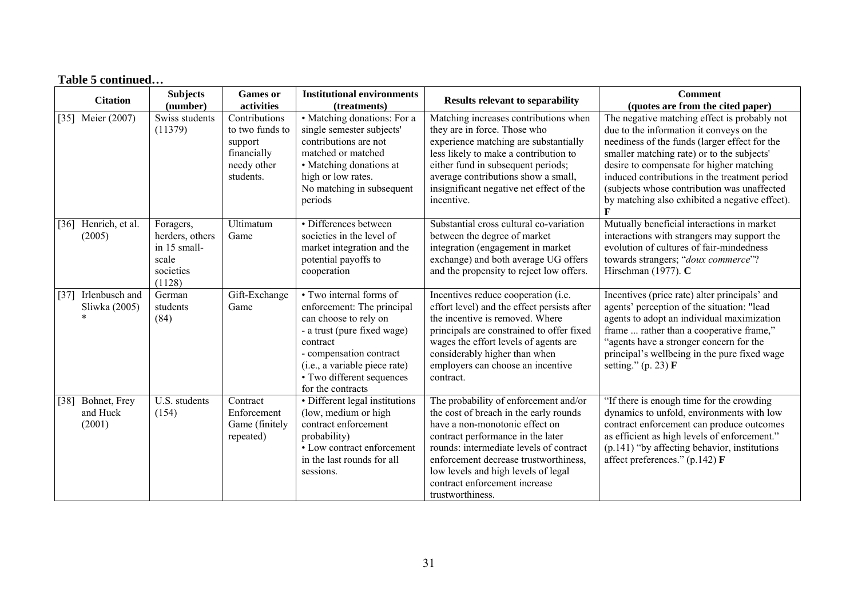|                    | <b>Citation</b>                           | <b>Subjects</b><br>(number)                                                  | <b>Games</b> or<br>activities                                                          | <b>Institutional environments</b><br>(treatments)                                                                                                                                                                                       | <b>Results relevant to separability</b>                                                                                                                                                                                                                                                                                                | <b>Comment</b><br>(quotes are from the cited paper)                                                                                                                                                                                                                                                                                                                                   |  |  |  |
|--------------------|-------------------------------------------|------------------------------------------------------------------------------|----------------------------------------------------------------------------------------|-----------------------------------------------------------------------------------------------------------------------------------------------------------------------------------------------------------------------------------------|----------------------------------------------------------------------------------------------------------------------------------------------------------------------------------------------------------------------------------------------------------------------------------------------------------------------------------------|---------------------------------------------------------------------------------------------------------------------------------------------------------------------------------------------------------------------------------------------------------------------------------------------------------------------------------------------------------------------------------------|--|--|--|
| $\lceil 35 \rceil$ | Meier (2007)                              | Swiss students<br>(11379)                                                    | Contributions<br>to two funds to<br>support<br>financially<br>needy other<br>students. | • Matching donations: For a<br>single semester subjects'<br>contributions are not<br>matched or matched<br>• Matching donations at<br>high or low rates.<br>No matching in subsequent<br>periods                                        | Matching increases contributions when<br>they are in force. Those who<br>experience matching are substantially<br>less likely to make a contribution to<br>either fund in subsequent periods;<br>average contributions show a small,<br>insignificant negative net effect of the<br>incentive.                                         | The negative matching effect is probably not<br>due to the information it conveys on the<br>neediness of the funds (larger effect for the<br>smaller matching rate) or to the subjects'<br>desire to compensate for higher matching<br>induced contributions in the treatment period<br>(subjects whose contribution was unaffected<br>by matching also exhibited a negative effect). |  |  |  |
| $\lceil 36 \rceil$ | Henrich, et al.<br>(2005)                 | Foragers,<br>herders, others<br>in 15 small-<br>scale<br>societies<br>(1128) | Ultimatum<br>Game                                                                      | • Differences between<br>societies in the level of<br>market integration and the<br>potential payoffs to<br>cooperation                                                                                                                 | Substantial cross cultural co-variation<br>between the degree of market<br>integration (engagement in market<br>exchange) and both average UG offers<br>and the propensity to reject low offers.                                                                                                                                       | Mutually beneficial interactions in market<br>interactions with strangers may support the<br>evolution of cultures of fair-mindedness<br>towards strangers; "doux commerce"?<br>Hirschman (1977). C                                                                                                                                                                                   |  |  |  |
| $[37]$             | Irlenbusch and<br>Sliwka (2005)<br>$\ast$ | German<br>students<br>(84)                                                   | Gift-Exchange<br>Game                                                                  | • Two internal forms of<br>enforcement: The principal<br>can choose to rely on<br>- a trust (pure fixed wage)<br>contract<br>- compensation contract<br>(i.e., a variable piece rate)<br>• Two different sequences<br>for the contracts | Incentives reduce cooperation (i.e.<br>effort level) and the effect persists after<br>the incentive is removed. Where<br>principals are constrained to offer fixed<br>wages the effort levels of agents are<br>considerably higher than when<br>employers can choose an incentive<br>contract.                                         | Incentives (price rate) alter principals' and<br>agents' perception of the situation: "lead<br>agents to adopt an individual maximization<br>frame  rather than a cooperative frame,"<br>"agents have a stronger concern for the<br>principal's wellbeing in the pure fixed wage<br>setting." $(p. 23)$ F                                                                             |  |  |  |
| $[38]$             | Bohnet, Frey<br>and Huck<br>(2001)        | U.S. students<br>(154)                                                       | Contract<br>Enforcement<br>Game (finitely<br>repeated)                                 | · Different legal institutions<br>(low, medium or high<br>contract enforcement<br>probability)<br>• Low contract enforcement<br>in the last rounds for all<br>sessions.                                                                 | The probability of enforcement and/or<br>the cost of breach in the early rounds<br>have a non-monotonic effect on<br>contract performance in the later<br>rounds: intermediate levels of contract<br>enforcement decrease trustworthiness,<br>low levels and high levels of legal<br>contract enforcement increase<br>trustworthiness. | "If there is enough time for the crowding<br>dynamics to unfold, environments with low<br>contract enforcement can produce outcomes<br>as efficient as high levels of enforcement."<br>(p.141) "by affecting behavior, institutions<br>affect preferences." (p.142) F                                                                                                                 |  |  |  |

# **Table 5 continued…**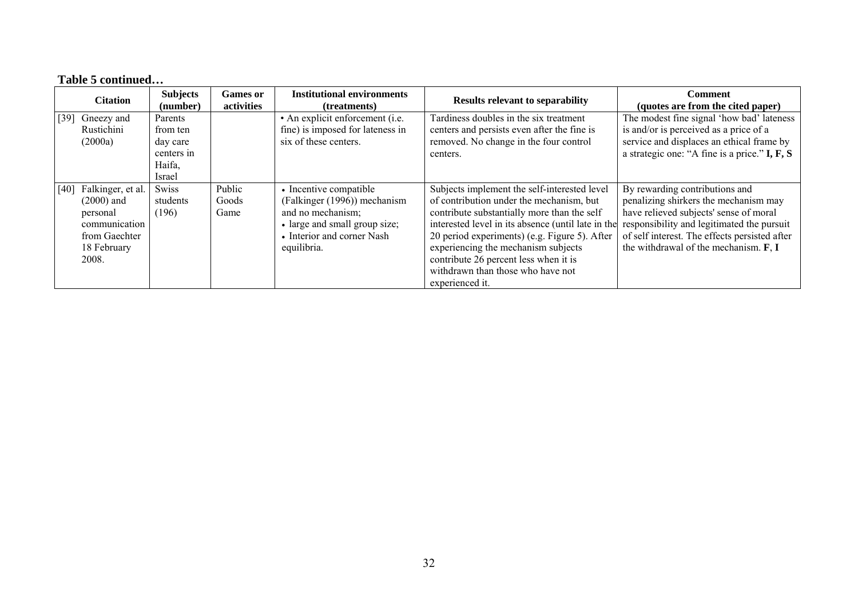|                    | <b>Citation</b>                                                                                         | <b>Subjects</b><br>(number)          | Games or<br>activities  | <b>Institutional environments</b><br>(treatments)                                                                                                         | <b>Results relevant to separability</b>                                                                                                                                                                                                                                                                                                                                                                                           | Comment<br>(quotes are from the cited paper)                                                                                                                                                                               |
|--------------------|---------------------------------------------------------------------------------------------------------|--------------------------------------|-------------------------|-----------------------------------------------------------------------------------------------------------------------------------------------------------|-----------------------------------------------------------------------------------------------------------------------------------------------------------------------------------------------------------------------------------------------------------------------------------------------------------------------------------------------------------------------------------------------------------------------------------|----------------------------------------------------------------------------------------------------------------------------------------------------------------------------------------------------------------------------|
| $\lceil 39 \rceil$ | Gneezy and<br>Rustichini<br>(2000a)                                                                     | Parents<br>from ten<br>day care      |                         | • An explicit enforcement (i.e.<br>fine) is imposed for lateness in<br>six of these centers.                                                              | Tardiness doubles in the six treatment<br>centers and persists even after the fine is<br>removed. No change in the four control                                                                                                                                                                                                                                                                                                   | The modest fine signal 'how bad' lateness<br>is and/or is perceived as a price of a<br>service and displaces an ethical frame by                                                                                           |
|                    |                                                                                                         | centers in<br>Haifa,<br><i>srael</i> |                         |                                                                                                                                                           | centers.                                                                                                                                                                                                                                                                                                                                                                                                                          | a strategic one: "A fine is a price." I, F, S                                                                                                                                                                              |
| [40]               | Falkinger, et al.<br>$(2000)$ and<br>personal<br>communication<br>from Gaechter<br>18 February<br>2008. | Swiss<br>students<br>(196)           | Public<br>Goods<br>Game | • Incentive compatible<br>(Falkinger (1996)) mechanism<br>and no mechanism;<br>• large and small group size;<br>• Interior and corner Nash<br>equilibria. | Subjects implement the self-interested level<br>of contribution under the mechanism, but<br>contribute substantially more than the self<br>interested level in its absence (until late in the responsibility and legitimated the pursuit<br>20 period experiments) (e.g. Figure 5). After<br>experiencing the mechanism subjects<br>contribute 26 percent less when it is<br>withdrawn than those who have not<br>experienced it. | By rewarding contributions and<br>penalizing shirkers the mechanism may<br>have relieved subjects' sense of moral<br>of self interest. The effects persisted after<br>the withdrawal of the mechanism. <b>F</b> , <b>I</b> |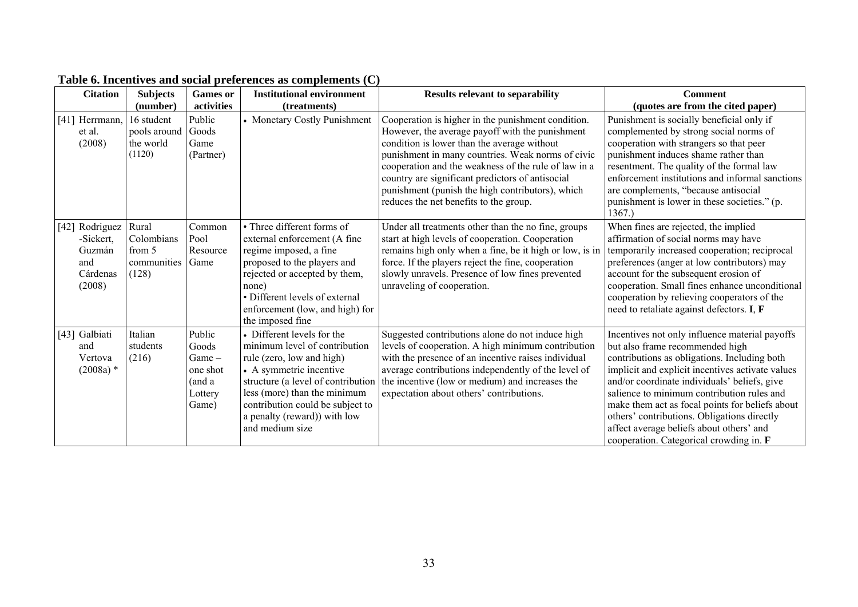| <b>Citation</b>                                                       | <b>Subjects</b><br>(number)                           | <b>Games</b> or<br>activities                                        | <b>Institutional environment</b><br>(treatments)                                                                                                                                                                                                                                 | <b>Results relevant to separability</b>                                                                                                                                                                                                                                                                                                                                                                             | <b>Comment</b><br>(quotes are from the cited paper)                                                                                                                                                                                                                                                                                                                                                                                                                          |
|-----------------------------------------------------------------------|-------------------------------------------------------|----------------------------------------------------------------------|----------------------------------------------------------------------------------------------------------------------------------------------------------------------------------------------------------------------------------------------------------------------------------|---------------------------------------------------------------------------------------------------------------------------------------------------------------------------------------------------------------------------------------------------------------------------------------------------------------------------------------------------------------------------------------------------------------------|------------------------------------------------------------------------------------------------------------------------------------------------------------------------------------------------------------------------------------------------------------------------------------------------------------------------------------------------------------------------------------------------------------------------------------------------------------------------------|
| [41] Herrmann,<br>et al.<br>(2008)                                    | 16 student<br>pools around<br>the world<br>(1120)     | Public<br>Goods<br>Game<br>(Partner)                                 | • Monetary Costly Punishment                                                                                                                                                                                                                                                     | Cooperation is higher in the punishment condition.<br>However, the average payoff with the punishment<br>condition is lower than the average without<br>punishment in many countries. Weak norms of civic<br>cooperation and the weakness of the rule of law in a<br>country are significant predictors of antisocial<br>punishment (punish the high contributors), which<br>reduces the net benefits to the group. | Punishment is socially beneficial only if<br>complemented by strong social norms of<br>cooperation with strangers so that peer<br>punishment induces shame rather than<br>resentment. The quality of the formal law<br>enforcement institutions and informal sanctions<br>are complements, "because antisocial<br>punishment is lower in these societies." (p.<br>1367.                                                                                                      |
| Rodriguez<br>[42]<br>-Sickert,<br>Guzmán<br>and<br>Cárdenas<br>(2008) | Rural<br>Colombians<br>from 5<br>communities<br>(128) | Common<br>Pool<br>Resource<br>Game                                   | • Three different forms of<br>external enforcement (A fine<br>regime imposed, a fine<br>proposed to the players and<br>rejected or accepted by them,<br>none)<br>• Different levels of external<br>enforcement (low, and high) for<br>the imposed fine                           | Under all treatments other than the no fine, groups<br>start at high levels of cooperation. Cooperation<br>remains high only when a fine, be it high or low, is in<br>force. If the players reject the fine, cooperation<br>slowly unravels. Presence of low fines prevented<br>unraveling of cooperation.                                                                                                          | When fines are rejected, the implied<br>affirmation of social norms may have<br>temporarily increased cooperation; reciprocal<br>preferences (anger at low contributors) may<br>account for the subsequent erosion of<br>cooperation. Small fines enhance unconditional<br>cooperation by relieving cooperators of the<br>need to retaliate against defectors. I, F                                                                                                          |
| [43] Galbiati<br>and<br>Vertova<br>$(2008a)$ *                        | Italian<br>students<br>(216)                          | Public<br>Goods<br>$Game-$<br>one shot<br>(and a<br>Lottery<br>Game) | • Different levels for the<br>minimum level of contribution<br>rule (zero, low and high)<br>• A symmetric incentive<br>structure (a level of contribution<br>less (more) than the minimum<br>contribution could be subject to<br>a penalty (reward)) with low<br>and medium size | Suggested contributions alone do not induce high<br>levels of cooperation. A high minimum contribution<br>with the presence of an incentive raises individual<br>average contributions independently of the level of<br>the incentive (low or medium) and increases the<br>expectation about others' contributions.                                                                                                 | Incentives not only influence material payoffs<br>but also frame recommended high<br>contributions as obligations. Including both<br>implicit and explicit incentives activate values<br>and/or coordinate individuals' beliefs, give<br>salience to minimum contribution rules and<br>make them act as focal points for beliefs about<br>others' contributions. Obligations directly<br>affect average beliefs about others' and<br>cooperation. Categorical crowding in. F |

# **Table 6. Incentives and social preferences as complements (C)**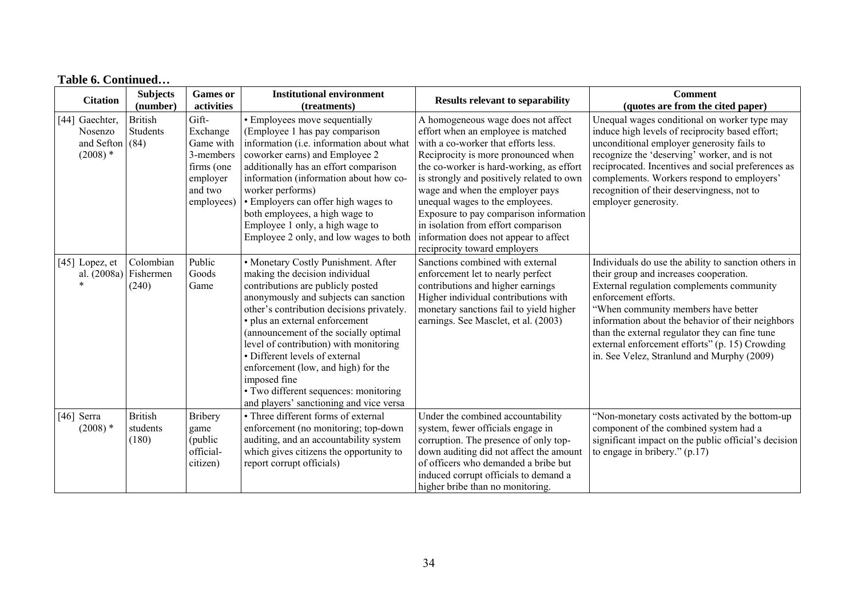| <b>Citation</b>                                      | <b>Subjects</b><br>(number)         | <b>Games</b> or<br>activities                                                                  | <b>Institutional environment</b><br>(treatments)                                                                                                                                                                                                                                                                                                                                                                                                                                                   | <b>Results relevant to separability</b>                                                                                                                                                                                                                                                                                                                                                                                                                                         | <b>Comment</b><br>(quotes are from the cited paper)                                                                                                                                                                                                                                                                                                                                                               |
|------------------------------------------------------|-------------------------------------|------------------------------------------------------------------------------------------------|----------------------------------------------------------------------------------------------------------------------------------------------------------------------------------------------------------------------------------------------------------------------------------------------------------------------------------------------------------------------------------------------------------------------------------------------------------------------------------------------------|---------------------------------------------------------------------------------------------------------------------------------------------------------------------------------------------------------------------------------------------------------------------------------------------------------------------------------------------------------------------------------------------------------------------------------------------------------------------------------|-------------------------------------------------------------------------------------------------------------------------------------------------------------------------------------------------------------------------------------------------------------------------------------------------------------------------------------------------------------------------------------------------------------------|
| [44] Gaechter,<br>Nosenzo<br>and Sefton<br>$(2008)*$ | <b>British</b><br>Students<br>(84)  | Gift-<br>Exchange<br>Game with<br>3-members<br>firms (one<br>employer<br>and two<br>employees) | • Employees move sequentially<br>(Employee 1 has pay comparison<br>information (i.e. information about what<br>coworker earns) and Employee 2<br>additionally has an effort comparison<br>information (information about how co-<br>worker performs)<br>• Employers can offer high wages to<br>both employees, a high wage to<br>Employee 1 only, a high wage to<br>Employee 2 only, and low wages to both                                                                                         | A homogeneous wage does not affect<br>effort when an employee is matched<br>with a co-worker that efforts less.<br>Reciprocity is more pronounced when<br>the co-worker is hard-working, as effort<br>is strongly and positively related to own<br>wage and when the employer pays<br>unequal wages to the employees.<br>Exposure to pay comparison information<br>in isolation from effort comparison<br>information does not appear to affect<br>reciprocity toward employers | Unequal wages conditional on worker type may<br>induce high levels of reciprocity based effort;<br>unconditional employer generosity fails to<br>recognize the 'deserving' worker, and is not<br>reciprocated. Incentives and social preferences as<br>complements. Workers respond to employers'<br>recognition of their deservingness, not to<br>employer generosity.                                           |
| $[45]$ Lopez, et<br>al. (2008a)                      | Colombian<br>Fishermen<br>(240)     | Public<br>Goods<br>Game                                                                        | • Monetary Costly Punishment. After<br>making the decision individual<br>contributions are publicly posted<br>anonymously and subjects can sanction<br>other's contribution decisions privately.<br>· plus an external enforcement<br>(announcement of the socially optimal<br>level of contribution) with monitoring<br>• Different levels of external<br>enforcement (low, and high) for the<br>imposed fine<br>• Two different sequences: monitoring<br>and players' sanctioning and vice versa | Sanctions combined with external<br>enforcement let to nearly perfect<br>contributions and higher earnings<br>Higher individual contributions with<br>monetary sanctions fail to yield higher<br>earnings. See Masclet, et al. (2003)                                                                                                                                                                                                                                           | Individuals do use the ability to sanction others in<br>their group and increases cooperation.<br>External regulation complements community<br>enforcement efforts.<br>"When community members have better<br>information about the behavior of their neighbors<br>than the external regulator they can fine tune<br>external enforcement efforts" (p. 15) Crowding<br>in. See Velez, Stranlund and Murphy (2009) |
| $[46]$ Serra<br>$(2008)*$                            | <b>British</b><br>students<br>(180) | <b>Bribery</b><br>game<br>(public<br>official-<br>citizen)                                     | • Three different forms of external<br>enforcement (no monitoring; top-down<br>auditing, and an accountability system<br>which gives citizens the opportunity to<br>report corrupt officials)                                                                                                                                                                                                                                                                                                      | Under the combined accountability<br>system, fewer officials engage in<br>corruption. The presence of only top-<br>down auditing did not affect the amount<br>of officers who demanded a bribe but<br>induced corrupt officials to demand a<br>higher bribe than no monitoring.                                                                                                                                                                                                 | "Non-monetary costs activated by the bottom-up<br>component of the combined system had a<br>significant impact on the public official's decision<br>to engage in bribery." $(p.17)$                                                                                                                                                                                                                               |

#### **Table 6. Continued…**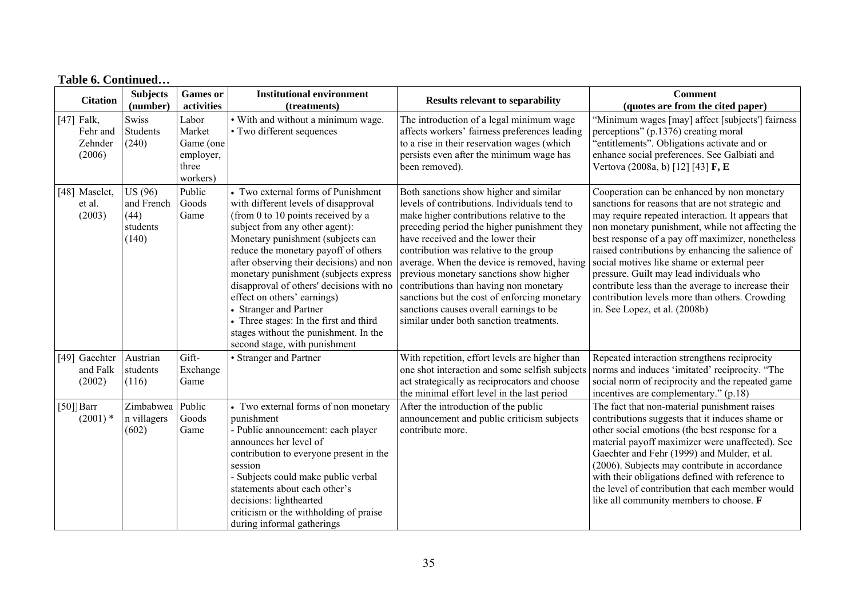| <b>Citation</b>                               | <b>Subjects</b><br>(number)                               | <b>Games</b> or<br>activities                                  | <b>Institutional environment</b><br>(treatments)                                                                                                                                                                                                                                                                                                                                                                                                                                                                                              | <b>Results relevant to separability</b>                                                                                                                                                                                                                                                                                                                                                                                                                                                                                                     | <b>Comment</b><br>(quotes are from the cited paper)                                                                                                                                                                                                                                                                                                                                                                                                                                                                                                   |
|-----------------------------------------------|-----------------------------------------------------------|----------------------------------------------------------------|-----------------------------------------------------------------------------------------------------------------------------------------------------------------------------------------------------------------------------------------------------------------------------------------------------------------------------------------------------------------------------------------------------------------------------------------------------------------------------------------------------------------------------------------------|---------------------------------------------------------------------------------------------------------------------------------------------------------------------------------------------------------------------------------------------------------------------------------------------------------------------------------------------------------------------------------------------------------------------------------------------------------------------------------------------------------------------------------------------|-------------------------------------------------------------------------------------------------------------------------------------------------------------------------------------------------------------------------------------------------------------------------------------------------------------------------------------------------------------------------------------------------------------------------------------------------------------------------------------------------------------------------------------------------------|
| $[47]$ Falk,<br>Fehr and<br>Zehnder<br>(2006) | Swiss<br>Students<br>(240)                                | Labor<br>Market<br>Game (one<br>employer,<br>three<br>workers) | • With and without a minimum wage.<br>• Two different sequences                                                                                                                                                                                                                                                                                                                                                                                                                                                                               | The introduction of a legal minimum wage<br>affects workers' fairness preferences leading<br>to a rise in their reservation wages (which<br>persists even after the minimum wage has<br>been removed).                                                                                                                                                                                                                                                                                                                                      | "Minimum wages [may] affect [subjects'] fairness<br>perceptions" (p.1376) creating moral<br>"entitlements". Obligations activate and or<br>enhance social preferences. See Galbiati and<br>Vertova (2008a, b) [12] [43] F, E                                                                                                                                                                                                                                                                                                                          |
| [48] Masclet,<br>et al.<br>(2003)             | <b>US</b> (96)<br>and French<br>(44)<br>students<br>(140) | Public<br>Goods<br>Game                                        | • Two external forms of Punishment<br>with different levels of disapproval<br>(from 0 to 10 points received by a<br>subject from any other agent):<br>Monetary punishment (subjects can<br>reduce the monetary payoff of others<br>after observing their decisions) and non<br>monetary punishment (subjects express<br>disapproval of others' decisions with no<br>effect on others' earnings)<br>• Stranger and Partner<br>• Three stages: In the first and third<br>stages without the punishment. In the<br>second stage, with punishment | Both sanctions show higher and similar<br>levels of contributions. Individuals tend to<br>make higher contributions relative to the<br>preceding period the higher punishment they<br>have received and the lower their<br>contribution was relative to the group<br>average. When the device is removed, having<br>previous monetary sanctions show higher<br>contributions than having non monetary<br>sanctions but the cost of enforcing monetary<br>sanctions causes overall earnings to be<br>similar under both sanction treatments. | Cooperation can be enhanced by non monetary<br>sanctions for reasons that are not strategic and<br>may require repeated interaction. It appears that<br>non monetary punishment, while not affecting the<br>best response of a pay off maximizer, nonetheless<br>raised contributions by enhancing the salience of<br>social motives like shame or external peer<br>pressure. Guilt may lead individuals who<br>contribute less than the average to increase their<br>contribution levels more than others. Crowding<br>in. See Lopez, et al. (2008b) |
| [49] Gaechter<br>and Falk<br>(2002)           | Austrian<br>students<br>(116)                             | Gift-<br>Exchange<br>Game                                      | • Stranger and Partner                                                                                                                                                                                                                                                                                                                                                                                                                                                                                                                        | With repetition, effort levels are higher than<br>one shot interaction and some selfish subjects<br>act strategically as reciprocators and choose<br>the minimal effort level in the last period                                                                                                                                                                                                                                                                                                                                            | Repeated interaction strengthens reciprocity<br>norms and induces 'imitated' reciprocity. "The<br>social norm of reciprocity and the repeated game<br>incentives are complementary." (p.18)                                                                                                                                                                                                                                                                                                                                                           |
| $[50]$ Barr<br>$(2001)$ *                     | Zimbabwea<br>n villagers<br>(602)                         | Public<br>Goods<br>Game                                        | • Two external forms of non monetary<br>punishment<br>- Public announcement: each player<br>announces her level of<br>contribution to everyone present in the<br>session<br>- Subjects could make public verbal<br>statements about each other's<br>decisions: lighthearted<br>criticism or the withholding of praise<br>during informal gatherings                                                                                                                                                                                           | After the introduction of the public<br>announcement and public criticism subjects<br>contribute more.                                                                                                                                                                                                                                                                                                                                                                                                                                      | The fact that non-material punishment raises<br>contributions suggests that it induces shame or<br>other social emotions (the best response for a<br>material payoff maximizer were unaffected). See<br>Gaechter and Fehr (1999) and Mulder, et al.<br>(2006). Subjects may contribute in accordance<br>with their obligations defined with reference to<br>the level of contribution that each member would<br>like all community members to choose. F                                                                                               |

#### **Table 6. Continued…**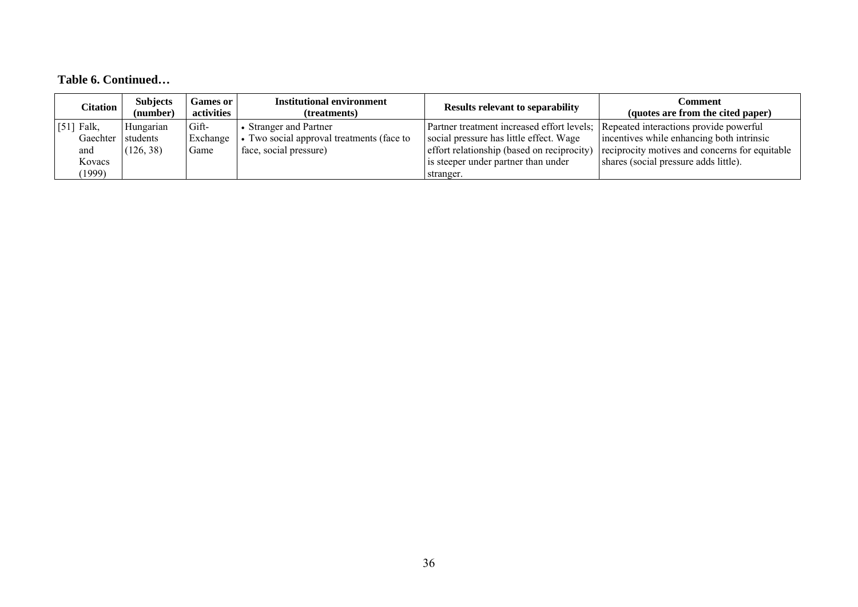## **Table 6. Continued…**

| <b>Citation</b> | <b>Subjects</b><br>(number) | <b>Games or</b><br>activities | <b>Institutional environment</b><br>(treatments) | <b>Results relevant to separability</b>                                           | Comment<br>(quotes are from the cited paper)   |
|-----------------|-----------------------------|-------------------------------|--------------------------------------------------|-----------------------------------------------------------------------------------|------------------------------------------------|
| $[51]$ Falk,    | Hungarian                   | Gift-                         | • Stranger and Partner                           | Partner treatment increased effort levels; Repeated interactions provide powerful |                                                |
| Gaechter        | students                    | Exchange                      | Two social approval treatments (face to          | social pressure has little effect. Wage                                           | incentives while enhancing both intrinsic      |
| and             | (126, 38)                   | Game                          | face, social pressure)                           | effort relationship (based on reciprocity)                                        | reciprocity motives and concerns for equitable |
| Kovacs          |                             |                               |                                                  | is steeper under partner than under                                               | shares (social pressure adds little).          |
| (1999)          |                             |                               |                                                  | stranger.                                                                         |                                                |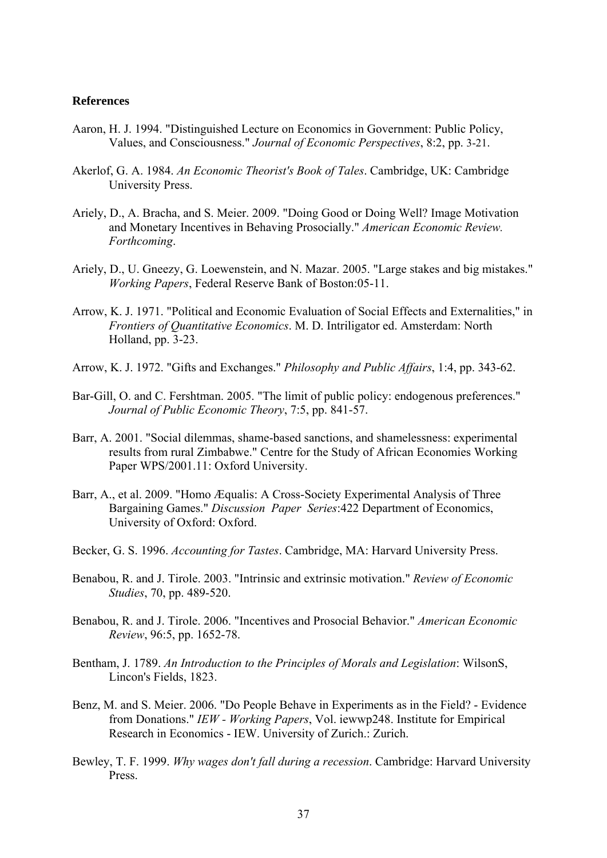### **References**

- Aaron, H. J. 1994. "Distinguished Lecture on Economics in Government: Public Policy, Values, and Consciousness." *Journal of Economic Perspectives*, 8:2, pp. 3-21.
- Akerlof, G. A. 1984. *An Economic Theorist's Book of Tales*. Cambridge, UK: Cambridge University Press.
- Ariely, D., A. Bracha, and S. Meier. 2009. "Doing Good or Doing Well? Image Motivation and Monetary Incentives in Behaving Prosocially." *American Economic Review. Forthcoming*.
- Ariely, D., U. Gneezy, G. Loewenstein, and N. Mazar. 2005. "Large stakes and big mistakes." *Working Papers*, Federal Reserve Bank of Boston:05-11.
- Arrow, K. J. 1971. "Political and Economic Evaluation of Social Effects and Externalities," in *Frontiers of Quantitative Economics*. M. D. Intriligator ed. Amsterdam: North Holland, pp. 3-23.
- Arrow, K. J. 1972. "Gifts and Exchanges." *Philosophy and Public Affairs*, 1:4, pp. 343-62.
- Bar-Gill, O. and C. Fershtman. 2005. "The limit of public policy: endogenous preferences." *Journal of Public Economic Theory*, 7:5, pp. 841-57.
- Barr, A. 2001. "Social dilemmas, shame-based sanctions, and shamelessness: experimental results from rural Zimbabwe." Centre for the Study of African Economies Working Paper WPS/2001.11: Oxford University.
- Barr, A., et al. 2009. "Homo Æqualis: A Cross-Society Experimental Analysis of Three Bargaining Games." *Discussion Paper Series*:422 Department of Economics, University of Oxford: Oxford.
- Becker, G. S. 1996. *Accounting for Tastes*. Cambridge, MA: Harvard University Press.
- Benabou, R. and J. Tirole. 2003. "Intrinsic and extrinsic motivation." *Review of Economic Studies*, 70, pp. 489-520.
- Benabou, R. and J. Tirole. 2006. "Incentives and Prosocial Behavior." *American Economic Review*, 96:5, pp. 1652-78.
- Bentham, J. 1789. *An Introduction to the Principles of Morals and Legislation*: WilsonS, Lincon's Fields, 1823.
- Benz, M. and S. Meier. 2006. "Do People Behave in Experiments as in the Field? Evidence from Donations." *IEW - Working Papers*, Vol. iewwp248. Institute for Empirical Research in Economics - IEW. University of Zurich.: Zurich.
- Bewley, T. F. 1999. *Why wages don't fall during a recession*. Cambridge: Harvard University Press.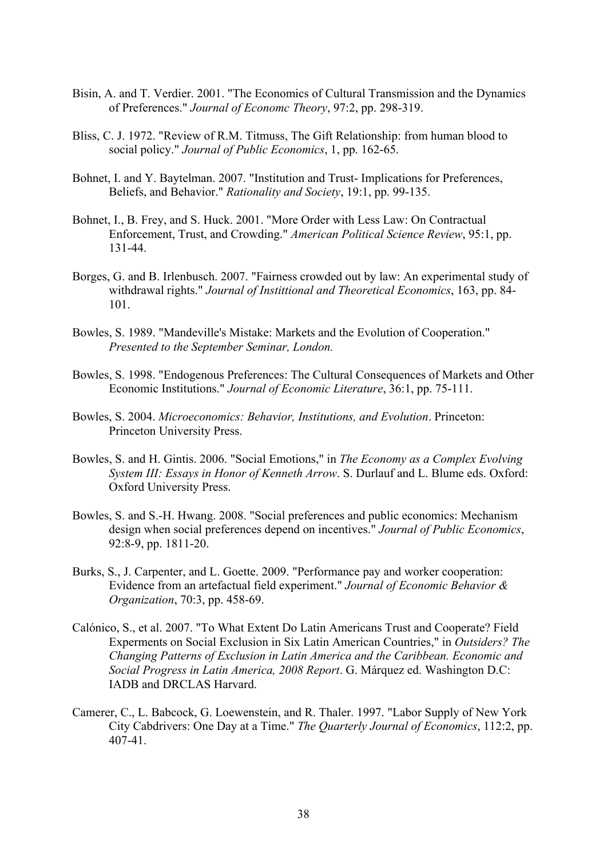- Bisin, A. and T. Verdier. 2001. "The Economics of Cultural Transmission and the Dynamics of Preferences." *Journal of Economc Theory*, 97:2, pp. 298-319.
- Bliss, C. J. 1972. "Review of R.M. Titmuss, The Gift Relationship: from human blood to social policy." *Journal of Public Economics*, 1, pp. 162-65.
- Bohnet, I. and Y. Baytelman. 2007. "Institution and Trust- Implications for Preferences, Beliefs, and Behavior." *Rationality and Society*, 19:1, pp. 99-135.
- Bohnet, I., B. Frey, and S. Huck. 2001. "More Order with Less Law: On Contractual Enforcement, Trust, and Crowding." *American Political Science Review*, 95:1, pp. 131-44.
- Borges, G. and B. Irlenbusch. 2007. "Fairness crowded out by law: An experimental study of withdrawal rights." *Journal of Instittional and Theoretical Economics*, 163, pp. 84- 101.
- Bowles, S. 1989. "Mandeville's Mistake: Markets and the Evolution of Cooperation." *Presented to the September Seminar, London.*
- Bowles, S. 1998. "Endogenous Preferences: The Cultural Consequences of Markets and Other Economic Institutions." *Journal of Economic Literature*, 36:1, pp. 75-111.
- Bowles, S. 2004. *Microeconomics: Behavior, Institutions, and Evolution*. Princeton: Princeton University Press.
- Bowles, S. and H. Gintis. 2006. "Social Emotions," in *The Economy as a Complex Evolving System III: Essays in Honor of Kenneth Arrow*. S. Durlauf and L. Blume eds. Oxford: Oxford University Press.
- Bowles, S. and S.-H. Hwang. 2008. "Social preferences and public economics: Mechanism design when social preferences depend on incentives." *Journal of Public Economics*, 92:8-9, pp. 1811-20.
- Burks, S., J. Carpenter, and L. Goette. 2009. "Performance pay and worker cooperation: Evidence from an artefactual field experiment." *Journal of Economic Behavior & Organization*, 70:3, pp. 458-69.
- Calónico, S., et al. 2007. "To What Extent Do Latin Americans Trust and Cooperate? Field Experments on Social Exclusion in Six Latin American Countries," in *Outsiders? The Changing Patterns of Exclusion in Latin America and the Caribbean. Economic and Social Progress in Latin America, 2008 Report*. G. Márquez ed. Washington D.C: IADB and DRCLAS Harvard.
- Camerer, C., L. Babcock, G. Loewenstein, and R. Thaler. 1997. "Labor Supply of New York City Cabdrivers: One Day at a Time." *The Quarterly Journal of Economics*, 112:2, pp. 407-41.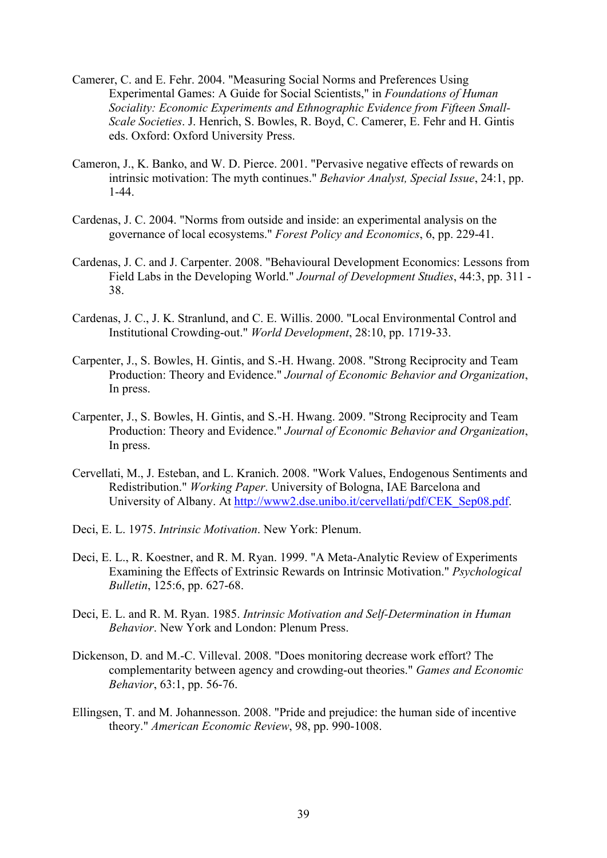- Camerer, C. and E. Fehr. 2004. "Measuring Social Norms and Preferences Using Experimental Games: A Guide for Social Scientists," in *Foundations of Human Sociality: Economic Experiments and Ethnographic Evidence from Fifteen Small-Scale Societies*. J. Henrich, S. Bowles, R. Boyd, C. Camerer, E. Fehr and H. Gintis eds. Oxford: Oxford University Press.
- Cameron, J., K. Banko, and W. D. Pierce. 2001. "Pervasive negative effects of rewards on intrinsic motivation: The myth continues." *Behavior Analyst, Special Issue*, 24:1, pp. 1-44.
- Cardenas, J. C. 2004. "Norms from outside and inside: an experimental analysis on the governance of local ecosystems." *Forest Policy and Economics*, 6, pp. 229-41.
- Cardenas, J. C. and J. Carpenter. 2008. "Behavioural Development Economics: Lessons from Field Labs in the Developing World." *Journal of Development Studies*, 44:3, pp. 311 - 38.
- Cardenas, J. C., J. K. Stranlund, and C. E. Willis. 2000. "Local Environmental Control and Institutional Crowding-out." *World Development*, 28:10, pp. 1719-33.
- Carpenter, J., S. Bowles, H. Gintis, and S.-H. Hwang. 2008. "Strong Reciprocity and Team Production: Theory and Evidence." *Journal of Economic Behavior and Organization*, In press.
- Carpenter, J., S. Bowles, H. Gintis, and S.-H. Hwang. 2009. "Strong Reciprocity and Team Production: Theory and Evidence." *Journal of Economic Behavior and Organization*, In press.
- Cervellati, M., J. Esteban, and L. Kranich. 2008. "Work Values, Endogenous Sentiments and Redistribution." *Working Paper*. University of Bologna, IAE Barcelona and University of Albany. At [http://www2.dse.unibo.it/cervellati/pdf/CEK\\_Sep08.pdf](http://www2.dse.unibo.it/cervellati/pdf/CEK_Sep08.pdf).
- Deci, E. L. 1975. *Intrinsic Motivation*. New York: Plenum.
- Deci, E. L., R. Koestner, and R. M. Ryan. 1999. "A Meta-Analytic Review of Experiments Examining the Effects of Extrinsic Rewards on Intrinsic Motivation." *Psychological Bulletin*, 125:6, pp. 627-68.
- Deci, E. L. and R. M. Ryan. 1985. *Intrinsic Motivation and Self-Determination in Human Behavior*. New York and London: Plenum Press.
- Dickenson, D. and M.-C. Villeval. 2008. "Does monitoring decrease work effort? The complementarity between agency and crowding-out theories." *Games and Economic Behavior*, 63:1, pp. 56-76.
- Ellingsen, T. and M. Johannesson. 2008. "Pride and prejudice: the human side of incentive theory." *American Economic Review*, 98, pp. 990-1008.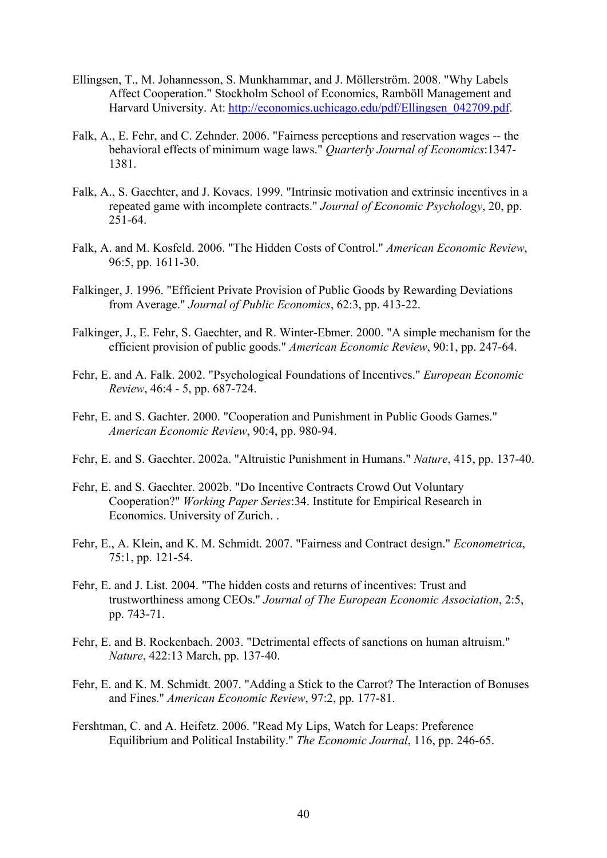- Ellingsen, T., M. Johannesson, S. Munkhammar, and J. Möllerström. 2008. "Why Labels Affect Cooperation." Stockholm School of Economics, Ramböll Management and Harvard University. At: [http://economics.uchicago.edu/pdf/Ellingsen\\_042709.pdf.](http://economics.uchicago.edu/pdf/Ellingsen_042709.pdf)
- Falk, A., E. Fehr, and C. Zehnder. 2006. "Fairness perceptions and reservation wages -- the behavioral effects of minimum wage laws." *Quarterly Journal of Economics*:1347- 1381.
- Falk, A., S. Gaechter, and J. Kovacs. 1999. "Intrinsic motivation and extrinsic incentives in a repeated game with incomplete contracts." *Journal of Economic Psychology*, 20, pp. 251-64.
- Falk, A. and M. Kosfeld. 2006. "The Hidden Costs of Control." *American Economic Review*, 96:5, pp. 1611-30.
- Falkinger, J. 1996. "Efficient Private Provision of Public Goods by Rewarding Deviations from Average." *Journal of Public Economics*, 62:3, pp. 413-22.
- Falkinger, J., E. Fehr, S. Gaechter, and R. Winter-Ebmer. 2000. "A simple mechanism for the efficient provision of public goods." *American Economic Review*, 90:1, pp. 247-64.
- Fehr, E. and A. Falk. 2002. "Psychological Foundations of Incentives." *European Economic Review*, 46:4 - 5, pp. 687-724.
- Fehr, E. and S. Gachter. 2000. "Cooperation and Punishment in Public Goods Games." *American Economic Review*, 90:4, pp. 980-94.
- Fehr, E. and S. Gaechter. 2002a. "Altruistic Punishment in Humans." *Nature*, 415, pp. 137-40.
- Fehr, E. and S. Gaechter. 2002b. "Do Incentive Contracts Crowd Out Voluntary Cooperation?" *Working Paper Series*:34. Institute for Empirical Research in Economics. University of Zurich. .
- Fehr, E., A. Klein, and K. M. Schmidt. 2007. "Fairness and Contract design." *Econometrica*, 75:1, pp. 121-54.
- Fehr, E. and J. List. 2004. "The hidden costs and returns of incentives: Trust and trustworthiness among CEOs." *Journal of The European Economic Association*, 2:5, pp. 743-71.
- Fehr, E. and B. Rockenbach. 2003. "Detrimental effects of sanctions on human altruism." *Nature*, 422:13 March, pp. 137-40.
- Fehr, E. and K. M. Schmidt. 2007. "Adding a Stick to the Carrot? The Interaction of Bonuses and Fines." *American Economic Review*, 97:2, pp. 177-81.
- Fershtman, C. and A. Heifetz. 2006. "Read My Lips, Watch for Leaps: Preference Equilibrium and Political Instability." *The Economic Journal*, 116, pp. 246-65.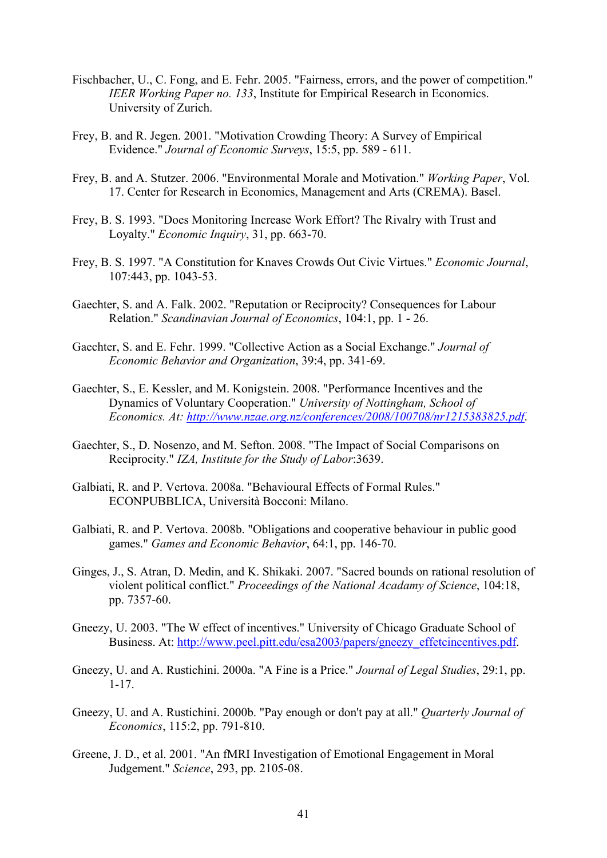- Fischbacher, U., C. Fong, and E. Fehr. 2005. "Fairness, errors, and the power of competition." *IEER Working Paper no. 133*, Institute for Empirical Research in Economics. University of Zurich.
- Frey, B. and R. Jegen. 2001. "Motivation Crowding Theory: A Survey of Empirical Evidence." *Journal of Economic Surveys*, 15:5, pp. 589 - 611.
- Frey, B. and A. Stutzer. 2006. "Environmental Morale and Motivation." *Working Paper*, Vol. 17. Center for Research in Economics, Management and Arts (CREMA). Basel.
- Frey, B. S. 1993. "Does Monitoring Increase Work Effort? The Rivalry with Trust and Loyalty." *Economic Inquiry*, 31, pp. 663-70.
- Frey, B. S. 1997. "A Constitution for Knaves Crowds Out Civic Virtues." *Economic Journal*, 107:443, pp. 1043-53.
- Gaechter, S. and A. Falk. 2002. "Reputation or Reciprocity? Consequences for Labour Relation." *Scandinavian Journal of Economics*, 104:1, pp. 1 - 26.
- Gaechter, S. and E. Fehr. 1999. "Collective Action as a Social Exchange." *Journal of Economic Behavior and Organization*, 39:4, pp. 341-69.
- Gaechter, S., E. Kessler, and M. Konigstein. 2008. "Performance Incentives and the Dynamics of Voluntary Cooperation." *University of Nottingham, School of Economics. At:<http://www.nzae.org.nz/conferences/2008/100708/nr1215383825.pdf>*.
- Gaechter, S., D. Nosenzo, and M. Sefton. 2008. "The Impact of Social Comparisons on Reciprocity." *IZA, Institute for the Study of Labor*:3639.
- Galbiati, R. and P. Vertova. 2008a. "Behavioural Effects of Formal Rules." ECONPUBBLICA, Università Bocconi: Milano.
- Galbiati, R. and P. Vertova. 2008b. "Obligations and cooperative behaviour in public good games." *Games and Economic Behavior*, 64:1, pp. 146-70.
- Ginges, J., S. Atran, D. Medin, and K. Shikaki. 2007. "Sacred bounds on rational resolution of violent political conflict." *Proceedings of the National Acadamy of Science*, 104:18, pp. 7357-60.
- Gneezy, U. 2003. "The W effect of incentives." University of Chicago Graduate School of Business. At: [http://www.peel.pitt.edu/esa2003/papers/gneezy\\_effetcincentives.pdf.](http://www.peel.pitt.edu/esa2003/papers/gneezy_effetcincentives.pdf)
- Gneezy, U. and A. Rustichini. 2000a. "A Fine is a Price." *Journal of Legal Studies*, 29:1, pp. 1-17.
- Gneezy, U. and A. Rustichini. 2000b. "Pay enough or don't pay at all." *Quarterly Journal of Economics*, 115:2, pp. 791-810.
- Greene, J. D., et al. 2001. "An fMRI Investigation of Emotional Engagement in Moral Judgement." *Science*, 293, pp. 2105-08.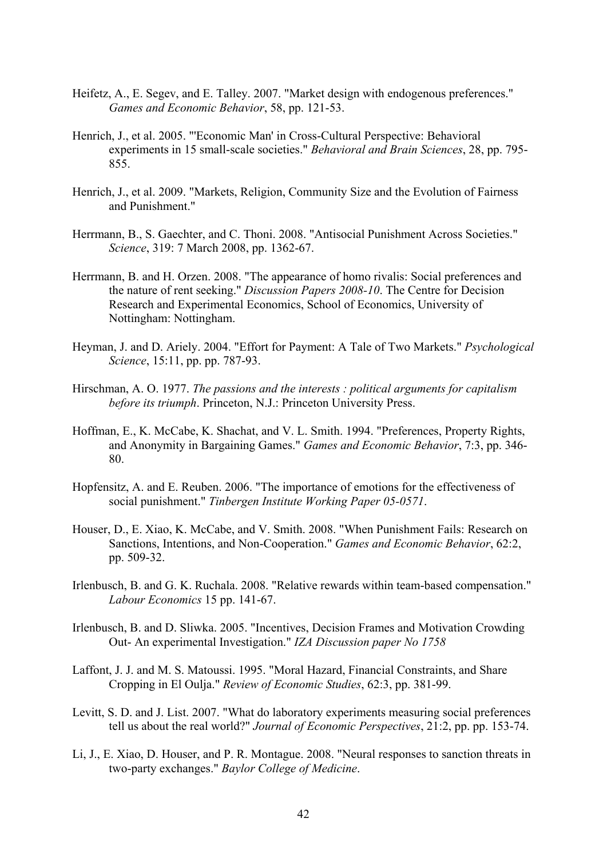- Heifetz, A., E. Segev, and E. Talley. 2007. "Market design with endogenous preferences." *Games and Economic Behavior*, 58, pp. 121-53.
- Henrich, J., et al. 2005. "'Economic Man' in Cross-Cultural Perspective: Behavioral experiments in 15 small-scale societies." *Behavioral and Brain Sciences*, 28, pp. 795- 855.
- Henrich, J., et al. 2009. "Markets, Religion, Community Size and the Evolution of Fairness and Punishment."
- Herrmann, B., S. Gaechter, and C. Thoni. 2008. "Antisocial Punishment Across Societies." *Science*, 319: 7 March 2008, pp. 1362-67.
- Herrmann, B. and H. Orzen. 2008. "The appearance of homo rivalis: Social preferences and the nature of rent seeking." *Discussion Papers 2008-10*. The Centre for Decision Research and Experimental Economics, School of Economics, University of Nottingham: Nottingham.
- Heyman, J. and D. Ariely. 2004. "Effort for Payment: A Tale of Two Markets." *Psychological Science*, 15:11, pp. pp. 787-93.
- Hirschman, A. O. 1977. *The passions and the interests : political arguments for capitalism before its triumph*. Princeton, N.J.: Princeton University Press.
- Hoffman, E., K. McCabe, K. Shachat, and V. L. Smith. 1994. "Preferences, Property Rights, and Anonymity in Bargaining Games." *Games and Economic Behavior*, 7:3, pp. 346- 80.
- Hopfensitz, A. and E. Reuben. 2006. "The importance of emotions for the effectiveness of social punishment." *Tinbergen Institute Working Paper 05-0571*.
- Houser, D., E. Xiao, K. McCabe, and V. Smith. 2008. "When Punishment Fails: Research on Sanctions, Intentions, and Non-Cooperation." *Games and Economic Behavior*, 62:2, pp. 509-32.
- Irlenbusch, B. and G. K. Ruchala. 2008. "Relative rewards within team-based compensation." *Labour Economics* 15 pp. 141-67.
- Irlenbusch, B. and D. Sliwka. 2005. "Incentives, Decision Frames and Motivation Crowding Out- An experimental Investigation." *IZA Discussion paper No 1758*
- Laffont, J. J. and M. S. Matoussi. 1995. "Moral Hazard, Financial Constraints, and Share Cropping in El Oulja." *Review of Economic Studies*, 62:3, pp. 381-99.
- Levitt, S. D. and J. List. 2007. "What do laboratory experiments measuring social preferences tell us about the real world?" *Journal of Economic Perspectives*, 21:2, pp. pp. 153-74.
- Li, J., E. Xiao, D. Houser, and P. R. Montague. 2008. "Neural responses to sanction threats in two-party exchanges." *Baylor College of Medicine*.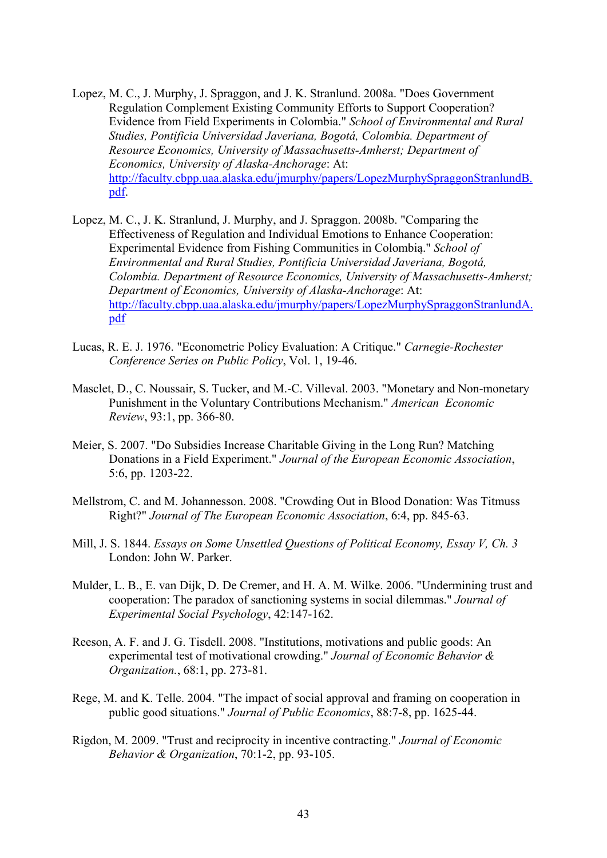- Lopez, M. C., J. Murphy, J. Spraggon, and J. K. Stranlund. 2008a. "Does Government Regulation Complement Existing Community Efforts to Support Cooperation? Evidence from Field Experiments in Colombia." *School of Environmental and Rural Studies, Pontificia Universidad Javeriana, Bogotá, Colombia. Department of Resource Economics, University of Massachusetts-Amherst; Department of Economics, University of Alaska-Anchorage*: At: [http://faculty.cbpp.uaa.alaska.edu/jmurphy/papers/LopezMurphySpraggonStranlundB.](http://faculty.cbpp.uaa.alaska.edu/jmurphy/papers/LopezMurphySpraggonStranlundB.pdf) [pdf.](http://faculty.cbpp.uaa.alaska.edu/jmurphy/papers/LopezMurphySpraggonStranlundB.pdf)
- Lopez, M. C., J. K. Stranlund, J. Murphy, and J. Spraggon. 2008b. "Comparing the Effectiveness of Regulation and Individual Emotions to Enhance Cooperation: Experimental Evidence from Fishing Communities in Colombia." *School of Environmental and Rural Studies, Pontificia Universidad Javeriana, Bogotá, Colombia. Department of Resource Economics, University of Massachusetts-Amherst; Department of Economics, University of Alaska-Anchorage*: At: [http://faculty.cbpp.uaa.alaska.edu/jmurphy/papers/LopezMurphySpraggonStranlundA.](http://faculty.cbpp.uaa.alaska.edu/jmurphy/papers/LopezMurphySpraggonStranlundA.pdf) [pdf](http://faculty.cbpp.uaa.alaska.edu/jmurphy/papers/LopezMurphySpraggonStranlundA.pdf)
- Lucas, R. E. J. 1976. "Econometric Policy Evaluation: A Critique." *Carnegie-Rochester Conference Series on Public Policy*, Vol. 1, 19-46.
- Masclet, D., C. Noussair, S. Tucker, and M.-C. Villeval. 2003. "Monetary and Non-monetary Punishment in the Voluntary Contributions Mechanism." *American Economic Review*, 93:1, pp. 366-80.
- Meier, S. 2007. "Do Subsidies Increase Charitable Giving in the Long Run? Matching Donations in a Field Experiment." *Journal of the European Economic Association*, 5:6, pp. 1203-22.
- Mellstrom, C. and M. Johannesson. 2008. "Crowding Out in Blood Donation: Was Titmuss Right?" *Journal of The European Economic Association*, 6:4, pp. 845-63.
- Mill, J. S. 1844. *Essays on Some Unsettled Questions of Political Economy, Essay V, Ch. 3*  London: John W. Parker.
- Mulder, L. B., E. van Dijk, D. De Cremer, and H. A. M. Wilke. 2006. "Undermining trust and cooperation: The paradox of sanctioning systems in social dilemmas." *Journal of Experimental Social Psychology*, 42:147-162.
- Reeson, A. F. and J. G. Tisdell. 2008. "Institutions, motivations and public goods: An experimental test of motivational crowding." *Journal of Economic Behavior & Organization.*, 68:1, pp. 273-81.
- Rege, M. and K. Telle. 2004. "The impact of social approval and framing on cooperation in public good situations." *Journal of Public Economics*, 88:7-8, pp. 1625-44.
- Rigdon, M. 2009. "Trust and reciprocity in incentive contracting." *Journal of Economic Behavior & Organization*, 70:1-2, pp. 93-105.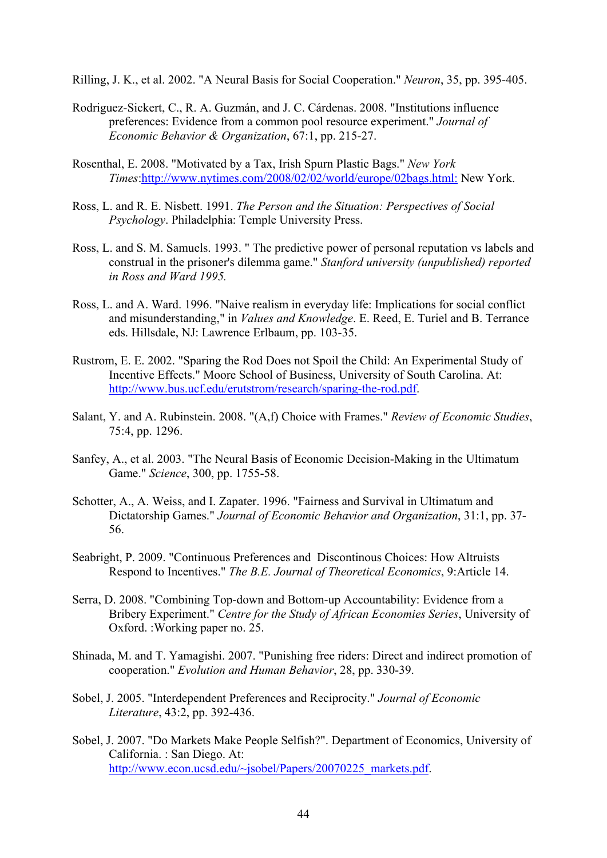Rilling, J. K., et al. 2002. "A Neural Basis for Social Cooperation." *Neuron*, 35, pp. 395-405.

- Rodriguez-Sickert, C., R. A. Guzmán, and J. C. Cárdenas. 2008. "Institutions influence preferences: Evidence from a common pool resource experiment." *Journal of Economic Behavior & Organization*, 67:1, pp. 215-27.
- Rosenthal, E. 2008. "Motivated by a Tax, Irish Spurn Plastic Bags." *New York Times*:<http://www.nytimes.com/2008/02/02/world/europe/02bags.html:> New York.
- Ross, L. and R. E. Nisbett. 1991. *The Person and the Situation: Perspectives of Social Psychology*. Philadelphia: Temple University Press.
- Ross, L. and S. M. Samuels. 1993. " The predictive power of personal reputation vs labels and construal in the prisoner's dilemma game." *Stanford university (unpublished) reported in Ross and Ward 1995.*
- Ross, L. and A. Ward. 1996. "Naive realism in everyday life: Implications for social conflict and misunderstanding," in *Values and Knowledge*. E. Reed, E. Turiel and B. Terrance eds. Hillsdale, NJ: Lawrence Erlbaum, pp. 103-35.
- Rustrom, E. E. 2002. "Sparing the Rod Does not Spoil the Child: An Experimental Study of Incentive Effects." Moore School of Business, University of South Carolina. At: [http://www.bus.ucf.edu/erutstrom/research/sparing-the-rod.pdf.](http://www.bus.ucf.edu/erutstrom/research/sparing-the-rod.pdf)
- Salant, Y. and A. Rubinstein. 2008. "(A,f) Choice with Frames." *Review of Economic Studies*, 75:4, pp. 1296.
- Sanfey, A., et al. 2003. "The Neural Basis of Economic Decision-Making in the Ultimatum Game." *Science*, 300, pp. 1755-58.
- Schotter, A., A. Weiss, and I. Zapater. 1996. "Fairness and Survival in Ultimatum and Dictatorship Games." *Journal of Economic Behavior and Organization*, 31:1, pp. 37- 56.
- Seabright, P. 2009. "Continuous Preferences and Discontinous Choices: How Altruists Respond to Incentives." *The B.E. Journal of Theoretical Economics*, 9:Article 14.
- Serra, D. 2008. "Combining Top-down and Bottom-up Accountability: Evidence from a Bribery Experiment." *Centre for the Study of African Economies Series*, University of Oxford. :Working paper no. 25.
- Shinada, M. and T. Yamagishi. 2007. "Punishing free riders: Direct and indirect promotion of cooperation." *Evolution and Human Behavior*, 28, pp. 330-39.
- Sobel, J. 2005. "Interdependent Preferences and Reciprocity." *Journal of Economic Literature*, 43:2, pp. 392-436.
- Sobel, J. 2007. "Do Markets Make People Selfish?". Department of Economics, University of California. : San Diego. At: [http://www.econ.ucsd.edu/~jsobel/Papers/20070225\\_markets.pdf.](http://www.econ.ucsd.edu/%7Ejsobel/Papers/20070225_markets.pdf)